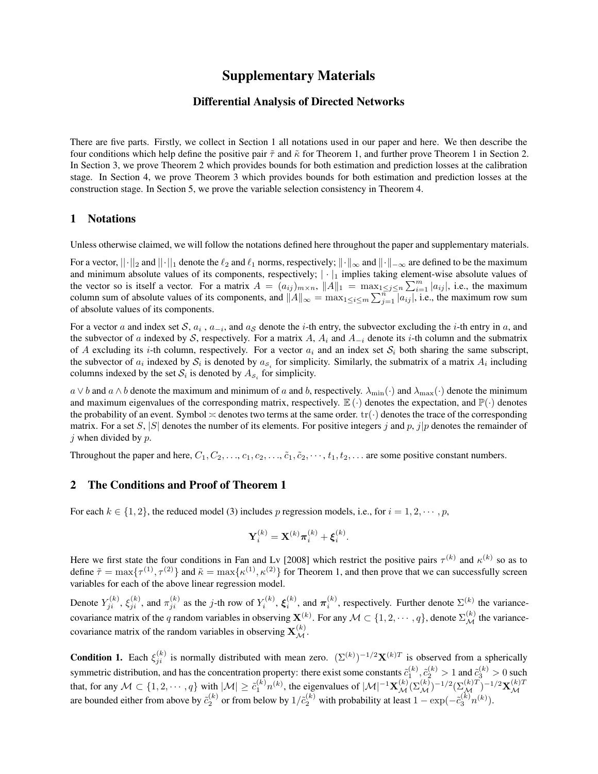# Supplementary Materials

## Differential Analysis of Directed Networks

There are five parts. Firstly, we collect in Section 1 all notations used in our paper and here. We then describe the four conditions which help define the positive pair *τ*˜ and *κ*˜ for Theorem 1, and further prove Theorem 1 in Section 2. In Section 3, we prove Theorem 2 which provides bounds for both estimation and prediction losses at the calibration stage. In Section 4, we prove Theorem 3 which provides bounds for both estimation and prediction losses at the construction stage. In Section 5, we prove the variable selection consistency in Theorem 4.

## 1 Notations

Unless otherwise claimed, we will follow the notations defined here throughout the paper and supplementary materials.

For a vector, *||·||*<sup>2</sup> and *||·||*<sup>1</sup> denote the *ℓ*<sup>2</sup> and *ℓ*<sup>1</sup> norms, respectively; *∥·∥<sup>∞</sup>* and *∥·∥−∞* are defined to be the maximum and minimum absolute values of its components, respectively;  $|\cdot|_1$  implies taking element-wise absolute values of the vector so is itself a vector. For a matrix  $A = (a_{ij})_{m \times n}$ ,  $||A||_1 = \max_{1 \leq j \leq n} \sum_{i=1}^m |a_{ij}|$ , i.e., the maximum column sum of absolute values of its components, and  $||A||_{\infty} = \max_{1 \leq i \leq m} \sum_{j=1}^{n} |a_{ij}|$ , i.e., the maximum row sum of absolute values of its components.

For a vector *a* and index set *S*,  $a_i$ ,  $a_{-i}$ , and  $a_S$  denote the *i*-th entry, the subvector excluding the *i*-th entry in *a*, and the subvector of *a* indexed by *S*, respectively. For a matrix *A*,  $A_i$  and  $A_{-i}$  denote its *i*-th column and the submatrix of *A* excluding its *i*-th column, respectively. For a vector  $a_i$  and an index set  $S_i$  both sharing the same subscript, the subvector of  $a_i$  indexed by  $S_i$  is denoted by  $a_{s_i}$  for simplicity. Similarly, the submatrix of a matrix  $A_i$  including columns indexed by the set  $S_i$  is denoted by  $A_{S_i}$  for simplicity.

 $a \vee b$  and  $a \wedge b$  denote the maximum and minimum of *a* and *b*, respectively.  $\lambda_{\min}(\cdot)$  and  $\lambda_{\max}(\cdot)$  denote the minimum and maximum eigenvalues of the corresponding matrix, respectively.  $\mathbb{E}(\cdot)$  denotes the expectation, and  $\mathbb{P}(\cdot)$  denotes the probability of an event. Symbol  $\asymp$  denotes two terms at the same order.  $tr(\cdot)$  denotes the trace of the corresponding matrix. For a set *S*, |*S*| denotes the number of its elements. For positive integers *j* and *p*, *j*|*p* denotes the remainder of *j* when divided by *p*.

Throughout the paper and here,  $C_1, C_2, \ldots, c_1, c_2, \ldots, \tilde{c}_1, \tilde{c}_2, \cdots, t_1, t_2, \ldots$  are some positive constant numbers.

#### 2 The Conditions and Proof of Theorem 1

For each  $k \in \{1, 2\}$ , the reduced model (3) includes p regression models, i.e., for  $i = 1, 2, \dots, p$ ,

$$
\mathbf{Y}_i^{(k)} = \mathbf{X}^{(k)} \boldsymbol{\pi}_i^{(k)} + \boldsymbol{\xi}_i^{(k)}.
$$

Here we first state the four conditions in Fan and Lv [2008] which restrict the positive pairs  $\tau^{(k)}$  and  $\kappa^{(k)}$  so as to define  $\tilde{\tau} = \max\{\tau^{(1)}, \tau^{(2)}\}$  and  $\tilde{\kappa} = \max\{\kappa^{(1)}, \kappa^{(2)}\}$  for Theorem 1, and then prove that we can successfully screen variables for each of the above linear regression model.

Denote  $Y_{ji}^{(k)}$ ,  $\xi_{ji}^{(k)}$ , and  $\pi_{ji}^{(k)}$  as the *j*-th row of  $Y_i^{(k)}$ ,  $\xi_i^{(k)}$ , and  $\pi_i^{(k)}$ , respectively. Further denote  $\Sigma^{(k)}$  the variancecovariance matrix of the *q* random variables in observing  $\mathbf{X}^{(k)}$ . For any  $\mathcal{M} \subset \{1, 2, \dots, q\}$ , denote  $\Sigma_{\mathcal{M}}^{(k)}$  the variancecovariance matrix of the random variables in observing  $\mathbf{X}_{\mathcal{M}}^{(k)}$ .

**Condition 1.** Each  $\xi_{ji}^{(k)}$  is normally distributed with mean zero.  $(\Sigma^{(k)})^{-1/2} \mathbf{X}^{(k)T}$  is observed from a spherically symmetric distribution, and has the concentration property: there exist some constants  $\tilde{c}_1^{(k)}, \tilde{c}_2^{(k)} > 1$  and  $\tilde{c}_3^{(k)} > 0$  such that, for any  $M \subset \{1, 2, \cdots, q\}$  with  $|M| \ge \tilde{c}_1^{(k)} n^{(k)}$ , the eigenvalues of  $|M|^{-1} \mathbf{X}_\mathcal{M}^{(k)} (\Sigma_\mathcal{M}^{(k)})^{-1/2} (\Sigma_\mathcal{M}^{(k)T})^{-1/2} \mathbf{X}_\mathcal{M}^{(k)T}$ are bounded either from above by  $\tilde{c}_2^{(k)}$  or from below by  $1/\tilde{c}_2^{(k)}$  with probability at least  $1 - \exp(-\tilde{c}_3^{(k)}n^{(k)})$ .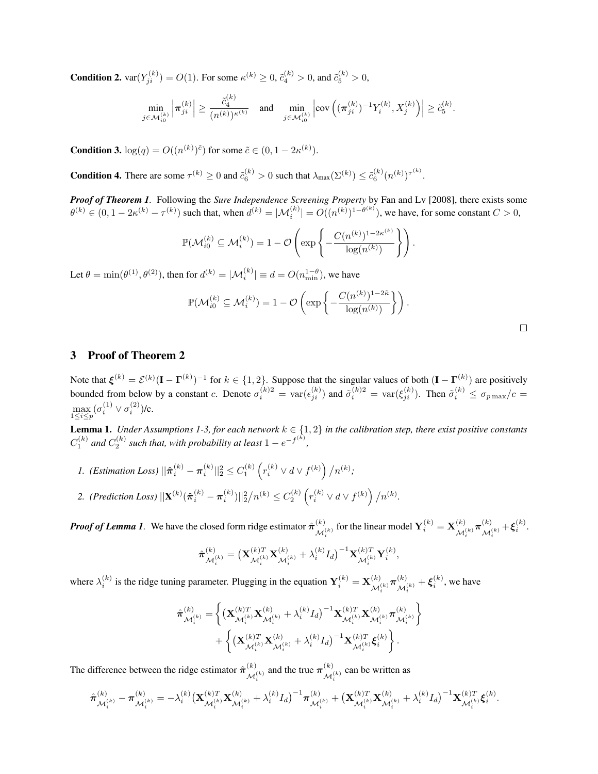**Condition 2.**  $var(Y_{ji}^{(k)}) = O(1)$ . For some  $\kappa^{(k)} \ge 0$ ,  $\tilde{c}_4^{(k)} > 0$ , and  $\tilde{c}_5^{(k)} > 0$ ,

$$
\min_{j\in\mathcal{M}_{i0}^{(k)}}\left|\boldsymbol{\pi}_{ji}^{(k)}\right|\geq\frac{\tilde{c}_{4}^{(k)}}{\left(n^{(k)}\right)^{\kappa^{(k)}}}\quad\text{and}\quad\min_{j\in\mathcal{M}_{i0}^{(k)}}\left|\text{cov}\left((\boldsymbol{\pi}_{ji}^{(k)})^{-1}Y_{i}^{(k)},X_{j}^{(k)}\right)\right|\geq\tilde{c}_{5}^{(k)}.
$$

**Condition 3.**  $log(q) = O((n^{(k)})^{\tilde{c}})$  for some  $\tilde{c} \in (0, 1 - 2\kappa^{(k)})$ .

**Condition 4.** There are some  $\tau^{(k)} \ge 0$  and  $\tilde{c}_6^{(k)} > 0$  such that  $\lambda_{\max}(\Sigma^{(k)}) \le \tilde{c}_6^{(k)}(n^{(k)})^{\tau^{(k)}}$ .

*Proof of Theorem 1.* Following the *Sure Independence Screening Property* by Fan and Lv [2008], there exists some  $\theta^{(k)} \in (0, 1 - 2\kappa^{(k)} - \tau^{(k)})$  such that, when  $d^{(k)} = |\mathcal{M}_i^{(k)}| = O((n^{(k)})^{1-\theta^{(k)}})$ , we have, for some constant  $C > 0$ ,

$$
\mathbb{P}(\mathcal{M}_{i0}^{(k)} \subseteq \mathcal{M}_{i}^{(k)}) = 1 - \mathcal{O}\left(\exp\left\{-\frac{C(n^{(k)})^{1-2\kappa^{(k)}}}{\log(n^{(k)})}\right\}\right).
$$

Let  $\theta = \min(\theta^{(1)}, \theta^{(2)})$ , then for  $d^{(k)} = |\mathcal{M}_i^{(k)}| \equiv d = O(n_{\min}^{1-\theta})$ , we have

$$
\mathbb{P}(\mathcal{M}_{i0}^{(k)} \subseteq \mathcal{M}_{i}^{(k)}) = 1 - \mathcal{O}\left(\exp\left\{-\frac{C(n^{(k)})^{1-2\tilde{\kappa}}}{\log(n^{(k)})}\right\}\right).
$$

## 3 Proof of Theorem 2

Note that  $\xi^{(k)} = \mathcal{E}^{(k)} (\mathbf{I} - \mathbf{\Gamma}^{(k)})^{-1}$  for  $k \in \{1,2\}$ . Suppose that the singular values of both  $(\mathbf{I} - \mathbf{\Gamma}^{(k)})$  are positively bounded from below by a constant c. Denote  $\sigma_i^{(k)2} = \text{var}(\epsilon_{ji}^{(k)})$  and  $\tilde{\sigma}_i^{(k)2} = \text{var}(\xi_{ji}^{(k)})$ . Then  $\tilde{\sigma}_i^{(k)} \le \sigma_{p \max}/c =$ max 1*≤i≤p*  $(\sigma_i^{(1)} \vee \sigma_i^{(2)})$ /c.

**Lemma 1.** *Under Assumptions 1-3, for each network*  $k \in \{1, 2\}$  *in the calibration step, there exist positive constants*  $C_1^{(k)}$  and  $C_2^{(k)}$  such that, with probability at least  $1 - e^{-f^{(k)}}$ *,*

- 1. (Estimation Loss)  $||\hat{\pi}_{i}^{(k)} \pi_{i}^{(k)}||_2^2 \leq C_1^{(k)} \left( r_i^{(k)} \vee d \vee f^{(k)} \right) / n^{(k)}$ ;
- 2. (Prediction Loss)  $||\mathbf{X}^{(k)}(\hat{\boldsymbol{\pi}}_i^{(k)} \boldsymbol{\pi}_i^{(k)})||_2^2/n^{(k)} \leq C_2^{(k)} \left(r_i^{(k)} \vee d \vee f^{(k)}\right)/n^{(k)}$ .

*Proof of Lemma 1*. We have the closed form ridge estimator  $\hat{\pi}_{\text{tot}}^{(k)}$  $\mathbf{X}_{i}^{(k)}$  for the linear model  $\mathbf{Y}_{i}^{(k)} = \mathbf{X}_{\mathcal{M}_{i}}^{(k)}$  $\frac{d}{\mathcal{M}_i^{(k)}} \boldsymbol{\pi}^{(k)}_{\mathcal{M}_i^{(k)}}$  $\frac{(k)}{\mathcal{M}_i^{(k)}} + \boldsymbol{\xi}_i^{(k)}.$ 

$$
\hat{\boldsymbol{\pi}}_{\mathcal{M}_{i}^{(k)}}^{(k)} = \big(\mathbf{X}_{\mathcal{M}_{i}}^{(k)T} \mathbf{X}_{\mathcal{M}_{i}}^{(k)} + \lambda_{i}^{(k)} I_{d}\big)^{-1} \mathbf{X}_{\mathcal{M}_{i}}^{(k)T} \mathbf{Y}_{i}^{(k)},
$$

where  $\lambda_i^{(k)}$  is the ridge tuning parameter. Plugging in the equation  $Y_i^{(k)} = X_{\mathcal{M}}^{(k)}$  $\frac{d}{\mathcal{M}_i^{(k)}} \boldsymbol{\pi}^{(k)}_{\mathcal{M}_i^{(k)}}$  $\mathcal{M}_{i}^{(k)} + \xi_{i}^{(k)}$ , we have

$$
\begin{aligned} \hat{\pmb{\pi}}_{\mathcal{M}_i^{(k)}}^{(k)} = \bigg\{ & \big( \mathbf{X}_{\mathcal{M}_i^{(k)}}^{(k)T} \mathbf{X}_{\mathcal{M}_i^{(k)}}^{(k)} + \lambda_i^{(k)} I_d \big)^{-1} \mathbf{X}_{\mathcal{M}_i^{(k)}}^{(k)T} \mathbf{X}_{\mathcal{M}_i^{(k)}}^{(k)} \boldsymbol{\pi}_{\mathcal{M}_i^{(k)}}^{(k)} \bigg\} \\ & + \bigg\{ \big( \mathbf{X}_{\mathcal{M}_i^{(k)}}^{(k)T} \mathbf{X}_{\mathcal{M}_i^{(k)}}^{(k)} + \lambda_i^{(k)} I_d \big)^{-1} \mathbf{X}_{\mathcal{M}_i^{(k)}}^{(k)T} \boldsymbol{\xi}_i^{(k)} \bigg\} \,. \end{aligned}
$$

The difference between the ridge estimator  $\hat{\pi}^{(k)}$  $\mathcal{M}_i^{(k)}$  and the true  $\pi_{\mathcal{M}_i^{(k)}}^{(k)}$  $\mathcal{M}_i^{(k)}$  can be written as

$$
\hat{\boldsymbol{\pi}}^{(k)}_{\mathcal{M}^{(k)}_i} - \boldsymbol{\pi}^{(k)}_{\mathcal{M}^{(k)}_i} = -\lambda_i^{(k)} \big( \mathbf{X}_{\mathcal{M}^{(k)}_i}^{(k) T} \mathbf{X}_{\mathcal{M}^{(k)}_i}^{(k)} + \lambda_i^{(k)} I_d \big)^{-1} \boldsymbol{\pi}^{(k)}_{\mathcal{M}^{(k)}_i} + \big( \mathbf{X}_{\mathcal{M}^{(k)}_i}^{(k) T} \mathbf{X}_{\mathcal{M}^{(k)}_i}^{(k)} + \lambda_i^{(k)} I_d \big)^{-1} \mathbf{X}_{\mathcal{M}^{(k)}_i}^{(k) T} \boldsymbol{\xi}_i^{(k)}.
$$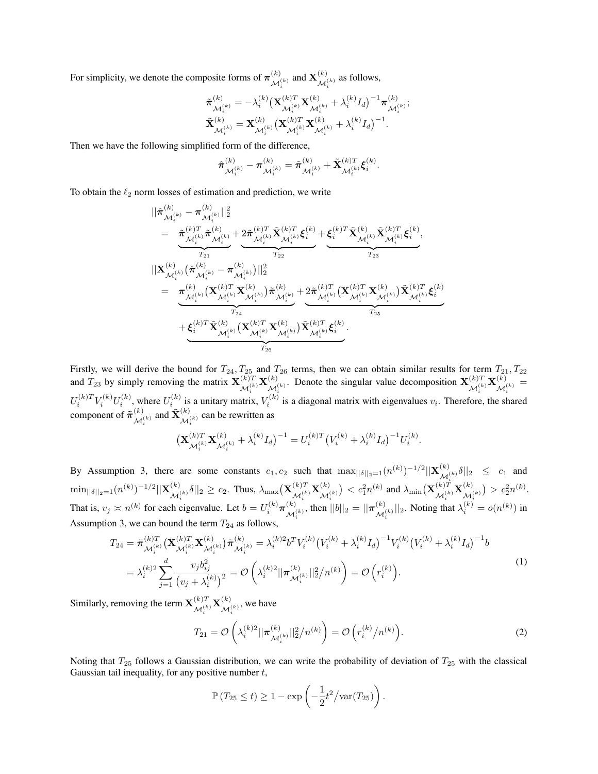For simplicity, we denote the composite forms of  $\pi^{(k)}$  $\mathcal{M}_i^{(k)}$  and  $\mathbf{X}_{\mathcal{M}_i}^{(k)}$  $\mathcal{M}_i^{(k)}$  as follows,

$$
\begin{array}{l} {\tilde \pi _{{\mathcal{M}}_i^{(k)}}^{\left( k \right)} = - \lambda _i^{\left( k \right)}{\left( {{{\bf{X}}_{{\mathcal{M}}_i^{(k)}}^T}{\bf{X}}_{{\mathcal{M}}_i^{(k)}}^{{\left( k \right)}} + \lambda _i^{\left( k \right)}{I_d}} \right)^{ - 1}}\pi _{{\mathcal{M}}_i^{(k)}}^{\left( k \right)};}^{\left( k \right)}\\ {\tilde {\bf{X}}_{{\mathcal{M}}_i^{(k)}}^{\left( k \right)} = {\bf{X}}_{{\mathcal{M}}_i^{(k)}}^{\left( k \right)}{\left( {{{\bf{X}}_{{\mathcal{M}}_i^{(k)}}^T}{\bf{X}}_{{\mathcal{M}}_i^{(k)}}^{{\left( k \right)}} + \lambda _i^{\left( k \right)}{I_d}} \right)^{ - 1}}. \end{array}
$$

Then we have the following simplified form of the difference,

$$
\hat{\boldsymbol{\pi}}^{(k)}_{\mathcal{M}_i^{(k)}} - \boldsymbol{\pi}^{(k)}_{\mathcal{M}_i^{(k)}} = \tilde{\boldsymbol{\pi}}^{(k)}_{\mathcal{M}_i^{(k)}} + \tilde{\mathbf{X}}^{(k)T}_{\mathcal{M}_i^{(k)}} \boldsymbol{\xi}_i^{(k)}.
$$

To obtain the *ℓ*<sup>2</sup> norm losses of estimation and prediction, we write

$$
\begin{aligned} &||\hat{\boldsymbol{\pi}}^{(k)}_{\mathcal{M}_{i}^{(k)}} - \boldsymbol{\pi}^{(k)}_{\mathcal{M}_{i}^{(k)}}||_{2}^{2} \\ &= \underbrace{\tilde{\boldsymbol{\pi}}^{(k)T}_{\mathcal{M}_{i}^{(k)}}\tilde{\boldsymbol{\pi}}^{(k)}_{\mathcal{M}_{i}^{(k)}} + 2\tilde{\boldsymbol{\pi}}^{(k)T}_{\mathcal{M}_{i}^{(k)}}\tilde{\mathbf{X}}^{(k)T}_{\mathcal{M}_{i}^{(k)}}\boldsymbol{\xi}_{i}^{(k)}}_{T_{23}} + \underbrace{\boldsymbol{\xi}_{i}^{(k)T}\tilde{\mathbf{X}}^{(k)}_{\mathcal{M}_{i}^{(k)}}\tilde{\mathbf{X}}^{(k)}_{\mathcal{M}_{i}^{(k)}}\tilde{\mathbf{X}}^{(k)T}_{\mathcal{M}_{i}^{(k)}}\boldsymbol{\xi}_{i}^{(k)}}_{T_{23}} \\ &||\mathbf{X}^{(k)}_{\mathcal{M}_{i}^{(k)}}\big(\hat{\boldsymbol{\pi}}^{(k)}_{\mathcal{M}_{i}^{(k)}} - \boldsymbol{\pi}^{(k)}_{\mathcal{M}_{i}^{(k)}}\big)||_{2}^{2} \\ &= \underbrace{\boldsymbol{\pi}^{(k)}_{\mathcal{M}_{i}^{(k)}}\big(\mathbf{X}^{(k)T}_{\mathcal{M}_{i}^{(k)}}\mathbf{X}^{(k)}_{\mathcal{M}_{i}^{(k)}}\big)\tilde{\boldsymbol{\pi}}^{(k)}_{\mathcal{M}_{i}^{(k)}} + 2\tilde{\boldsymbol{\pi}}^{(k)T}_{\mathcal{M}_{i}^{(k)}}\big(\mathbf{X}^{(k)T}_{\mathcal{M}_{i}^{(k)}}\mathbf{X}^{(k)}_{\mathcal{M}_{i}^{(k)}}\big)\tilde{\mathbf{X}}^{(k)T}_{\mathcal{M}_{i}^{(k)}}\boldsymbol{\xi}_{i}^{(k)}}_{T_{25}} \\ &+ \underbrace{\boldsymbol{\xi}_{i}^{(k)T}\tilde{\mathbf{X}}^{(k)}_{\mathcal{M}_{i}^{(k)}}\big(\mathbf{X}^{(k)T}_{\mathcal{M}_{i}^{(k)}}\mathbf{X}^{(k)}_{\mathcal{M}_{i}^{(k)}}\big)\tilde{\mathbf{X}}^{(k)T}_{\mathcal{M}_{i}^{(k)}}\boldsymbol{\xi}_{i}^{(
$$

Firstly, we will derive the bound for  $T_{24}$ ,  $T_{25}$  and  $T_{26}$  terms, then we can obtain similar results for term  $T_{21}$ ,  $T_{22}$ and  $T_{23}$  by simply removing the matrix  $\mathbf{X}^{(k)T}_{\mathbf{M}^{(k)}}$  $\mathcal{M}_i^{(k)}\mathbf{X}_{\mathcal{M}_i^{'}}^{(k)}$  $M_i^{(k)}$ . Denote the singular value decomposition  $\mathbf{X}_{\mathcal{M}_i^{(k)}}^{(k)T}$  $\mathcal{X}^{(k)}_i$   $\mathbf{X}^{(k)}_{\mathcal{M}^{(k)}_i}$  $\frac{1}{\mathcal{M}_i^{(k)}} =$  $U_i^{(k)T}V_i^{(k)}U_i^{(k)}$ , where  $U_i^{(k)}$  is a unitary matrix,  $V_i^{(k)}$  is a diagonal matrix with eigenvalues  $v_i$ . Therefore, the shared component of  $\tilde{\pi}^{(k)}$  $\mathcal{X}_{\mathcal{M}_{i}^{(k)}}^{(k)}$  and  $\tilde{\mathbf{X}}_{\mathcal{M}_{i}^{(k)}}^{(k)}$  $\mathcal{M}_i^{(k)}$  can be rewritten as

$$
\big(\mathbf{X}_{\mathcal{M}_i^{(k)}}^{(k)T}\mathbf{X}_{\mathcal{M}_i^{(k)}}^{(k)}+\lambda_i^{(k)}I_d\big)^{-1}=U_i^{(k)T}\big(V_i^{(k)}+\lambda_i^{(k)}I_d\big)^{-1}U_i^{(k)}.
$$

By Assumption 3, there are some constants  $c_1, c_2$  such that  $\max_{\vert\vert\delta\vert\vert_2=1} (n^{(k)})^{-1/2} \|\mathbf{X}_{\mathcal{M}^k}^{(k)}\|$  $\left|\frac{f^{(k)}}{\mathcal{M}_i^{(k)}}\delta\right|\right|_2 \leq c_1$  and  $\min_{||\delta||_2 = 1} (n^{(k)})^{-1/2} ||{\bf X}^{(k)}_{\mathcal{M}'}$  $\mathcal{M}_{i}^{(k)}\delta||_{2} \geq c_{2}$ . Thus,  $\lambda_{\max}(\mathbf{X}_{\mathcal{M}_{i}}^{(k)T})$  $\mathcal{M}_i^{(k)}\mathbf{X}_{\mathcal{M}_i}^{(k)}$  $\mathcal{M}_i^{(k)}$  $\mathcal{L}$   $c_1^2 n^{(k)}$  and  $\lambda_{\min} (\mathbf{X}_{\mathcal{M}^{(k)}}^{(k)T})$  $\mathcal{M}_i^{(k)}\mathbf{X}_{\mathcal{M}_i}^{(k)}$  $\mathcal{M}_i^{(k)}$  $) > c_2^2 n^{(k)}$ . That is,  $v_j \approx n^{(k)}$  for each eigenvalue. Let  $b = U_i^{(k)} \pi_{\mathcal{M}}^{(k)}$  $\mathcal{M}_i^{(k)}$ , then  $||b||_2 = ||\boldsymbol{\pi}_{\mathcal{M}_i}^{(k)}$  $\mathcal{M}_{i}^{(k)}||_{2}$ . Noting that  $\lambda_{i}^{(k)} = o(n^{(k)})$  in Assumption 3, we can bound the term  $T_{24}$  as follows,

$$
T_{24} = \tilde{\boldsymbol{\pi}}_{\mathcal{M}_i^{(k)}}^{(k)T} \left( \mathbf{X}_{\mathcal{M}_i^{(k)}}^{(k)T} \mathbf{X}_{\mathcal{M}_i^{(k)}}^{(k)} \right) \tilde{\boldsymbol{\pi}}_{\mathcal{M}_i^{(k)}}^{(k)} = \lambda_i^{(k)2} b^T V_i^{(k)} \left( V_i^{(k)} + \lambda_i^{(k)} I_d \right)^{-1} V_i^{(k)} \left( V_i^{(k)} + \lambda_i^{(k)} I_d \right)^{-1} b
$$
  
\n
$$
= \lambda_i^{(k)2} \sum_{j=1}^d \frac{v_j b_{ij}^2}{\left( v_j + \lambda_i^{(k)} \right)^2} = \mathcal{O}\left( \lambda_i^{(k)2} || \boldsymbol{\pi}_{\mathcal{M}_i^{(k)}}^{(k)} ||_2^2 / n^{(k)} \right) = \mathcal{O}\left( r_i^{(k)} \right).
$$
 (1)

Similarly, removing the term  $\mathbf{X}^{(k)T}_{j,l,k}$  $\mathcal{M}_i^{(k)}\mathbf{X}_{\mathcal{M}_i}^{(k)}$  $\mathcal{M}_i^{(k)}$ , we have

$$
T_{21} = \mathcal{O}\left(\lambda_i^{(k)}\|\pi_{\mathcal{M}_i^{(k)}}^{(k)}\|_2^2/n^{(k)}\right) = \mathcal{O}\left(r_i^{(k)}/n^{(k)}\right). \tag{2}
$$

Noting that *T*<sup>25</sup> follows a Gaussian distribution, we can write the probability of deviation of *T*<sup>25</sup> with the classical Gaussian tail inequality, for any positive number *t*,

$$
\mathbb{P}\left(T_{25} \leq t\right) \geq 1 - \exp\left(-\frac{1}{2}t^2/\text{var}(T_{25})\right).
$$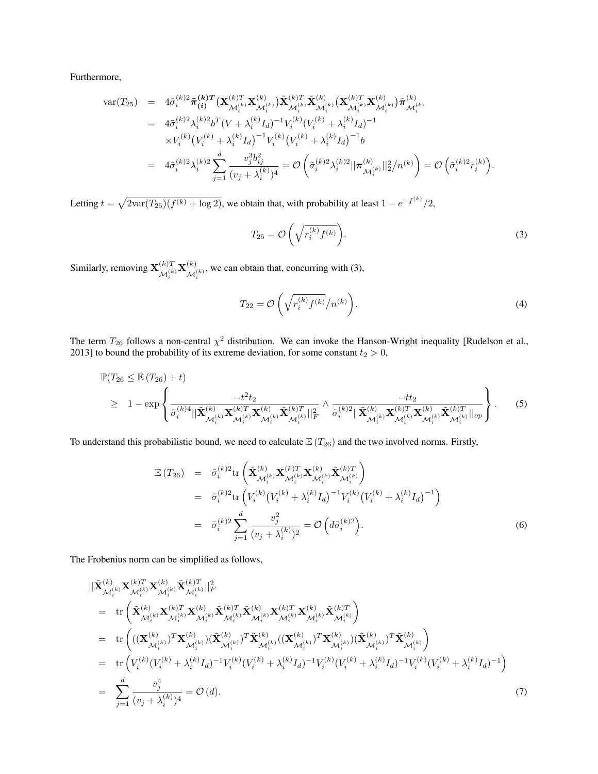Furthermore,

$$
\begin{array}{rcl}\n\text{var}(T_{25}) & = & 4\tilde{\sigma}_{i}^{(k)2}\tilde{\pi}_{(i)}^{(k)T}\left(\mathbf{X}_{\mathcal{M}_{i}^{(k)}}^{(k)T}\mathbf{X}_{\mathcal{M}_{i}^{(k)}}^{(k)}\right)\tilde{\mathbf{X}}_{\mathcal{M}_{i}^{(k)}}^{(k)T}\tilde{\mathbf{X}}_{\mathcal{M}_{i}^{(k)}}^{(k)}\left(\mathbf{X}_{\mathcal{M}_{i}^{(k)}}^{(k)}\right)\tilde{\pi}_{\mathcal{M}_{i}^{(k)}}^{(k)} \\
& = & 4\tilde{\sigma}_{i}^{(k)2}\lambda_{i}^{(k)2}b^{T}\left(V+\lambda_{i}^{(k)}I_{d}\right)^{-1}V_{i}^{(k)}\left(V_{i}^{(k)}+\lambda_{i}^{(k)}I_{d}\right)^{-1} \\
& \times V_{i}^{(k)}\left(V_{i}^{(k)}+\lambda_{i}^{(k)}I_{d}\right)^{-1}V_{i}^{(k)}\left(V_{i}^{(k)}+\lambda_{i}^{(k)}I_{d}\right)^{-1}b \\
& = & 4\tilde{\sigma}_{i}^{(k)2}\lambda_{i}^{(k)2}\sum_{j=1}^{d} \frac{v_{j}^{3}b_{ij}^{2}}{(v_{j}+\lambda_{i}^{(k)})^{4}} = \mathcal{O}\left(\tilde{\sigma}_{i}^{(k)2}\lambda_{i}^{(k)2}||\pi_{\mathcal{M}_{i}^{(k)}}^{(k)}||_{2}^{2}/n^{(k)}\right) = \mathcal{O}\left(\tilde{\sigma}_{i}^{(k)2}r_{i}^{(k)}\right).\n\end{array}
$$

Letting  $t = \sqrt{2 \text{var}(T_{25}) (f^{(k)} + \log 2)}$ , we obtain that, with probability at least  $1 - e^{-f^{(k)}}/2$ ,

$$
T_{25} = \mathcal{O}\left(\sqrt{r_i^{(k)} f^{(k)}}\right). \tag{3}
$$

Similarly, removing  $\mathbf{X}^{(k)T}_{\mathbf{L}^{(k)}}$  $\mathcal{M}_i^{(k)}\mathbf{X}_{\mathcal{M}_i}^{(k)}$  $M_i^{(k)}$ , we can obtain that, concurring with (3),

$$
T_{22} = \mathcal{O}\left(\sqrt{r_i^{(k)} f^{(k)}} / n^{(k)}\right). \tag{4}
$$

The term  $T_{26}$  follows a non-central  $\chi^2$  distribution. We can invoke the Hanson-Wright inequality [Rudelson et al., 2013] to bound the probability of its extreme deviation, for some constant  $t_2 > 0$ ,

$$
\mathbb{P}(T_{26} \leq \mathbb{E}(T_{26}) + t) \geq 1 - \exp\left\{ \frac{-t^2 t_2}{\tilde{\sigma}_i^{(k)4} || \tilde{\mathbf{X}}_{\mathcal{M}_i^{(k)}}^{(k)} \mathbf{X}_{\mathcal{M}_i^{(k)}}^{(k)T} \mathbf{X}_{\mathcal{M}_i^{(k)}}^{(k)} \tilde{\mathbf{X}}_{\mathcal{M}_i^{(k)}}^{(k)T} ||_F^{2} \wedge \frac{-tt_2}{\tilde{\sigma}_i^{(k)2} || \tilde{\mathbf{X}}_{\mathcal{M}_i^{(k)}}^{(k)} \mathbf{X}_{\mathcal{M}_i^{(k)}}^{(k)T} \mathbf{X}_{\mathcal{M}_i^{(k)}}^{(k)} \tilde{\mathbf{X}}_{\mathcal{M}_i^{(k)}}^{(k)T} ||_{op} \right\}.
$$
 (5)

To understand this probabilistic bound, we need to calculate  $\mathbb{E}(T_{26})$  and the two involved norms. Firstly,

$$
\mathbb{E}(T_{26}) = \tilde{\sigma}_{i}^{(k)2} \text{tr} \left( \tilde{\mathbf{X}}_{\mathcal{M}_{i}^{(k)}}^{(k)} \mathbf{X}_{\mathcal{M}_{i}^{(k)}}^{(k)T} \tilde{\mathbf{X}}_{\mathcal{M}_{i}^{(k)}}^{(k)T} \right)
$$
\n
$$
= \tilde{\sigma}_{i}^{(k)2} \text{tr} \left( V_{i}^{(k)} \left( V_{i}^{(k)} + \lambda_{i}^{(k)} I_{d} \right)^{-1} V_{i}^{(k)} \left( V_{i}^{(k)} + \lambda_{i}^{(k)} I_{d} \right)^{-1} \right)
$$
\n
$$
= \tilde{\sigma}_{i}^{(k)2} \sum_{j=1}^{d} \frac{v_{j}^{2}}{(v_{j} + \lambda_{i}^{(k)})^{2}} = \mathcal{O} \left( d\tilde{\sigma}_{i}^{(k)2} \right).
$$
\n(6)

The Frobenius norm can be simplified as follows,

$$
\begin{split}\n&\|\tilde{\mathbf{X}}_{\mathcal{M}_{i}^{(k)}}^{(k)} \mathbf{X}_{\mathcal{M}_{i}^{(k)}}^{(k)T} \mathbf{X}_{\mathcal{M}_{i}^{(k)}}^{(k)T} \tilde{\mathbf{X}}_{\mathcal{M}_{i}^{(k)}}^{(k)T}\|_{F}^{2} \\
&= \text{tr}\left(\tilde{\mathbf{X}}_{\mathcal{M}_{i}^{(k)}}^{(k)} \mathbf{X}_{\mathcal{M}_{i}^{(k)}}^{(k)T} \mathbf{X}_{\mathcal{M}_{i}^{(k)}}^{(k)} \tilde{\mathbf{X}}_{\mathcal{M}_{i}^{(k)}}^{(k)} \mathbf{X}_{\mathcal{M}_{i}^{(k)}}^{(k)T} \mathbf{X}_{\mathcal{M}_{i}^{(k)}}^{(k)}\right) \\
&= \text{tr}\left(((\mathbf{X}_{\mathcal{M}_{i}^{(k)}}^{(k)})^{T} \mathbf{X}_{\mathcal{M}_{i}^{(k)}}^{(k)}) (\tilde{\mathbf{X}}_{\mathcal{M}_{i}^{(k)}}^{(k)})^{T} \tilde{\mathbf{X}}_{\mathcal{M}_{i}^{(k)}}^{(k)} ((\mathbf{X}_{\mathcal{M}_{i}^{(k)}}^{(k)})^{T} \mathbf{X}_{\mathcal{M}_{i}^{(k)}}^{(k)}) (\tilde{\mathbf{X}}_{\mathcal{M}_{i}^{(k)}}^{(k)}) \\
&= \text{tr}\left((V_{i}^{(k)} (V_{i}^{(k)} + \lambda_{i}^{(k)} I_{d})^{-1} V_{i}^{(k)} (V_{i}^{(k)} + \lambda_{i}^{(k)} I_{d})^{-1} V_{i}^{(k)} (V_{i}^{(k)} + \lambda_{i}^{(k)} I_{d})^{-1} V_{i}^{(k)} (V_{i}^{(k)} + \lambda_{i}^{(k)} I_{d})^{-1} V_{i}^{(k)} (V_{i}^{(k)} + \lambda_{i}^{(k)} I_{d})^{-1}\right) \\
&= \sum_{j=1}^{d} \frac{v_{j}^{4}}{(v_{j} + \lambda_{i}^{(k)})^{4}} = \mathcal{O}\left(d\right). \tag{7}\n\end{split}
$$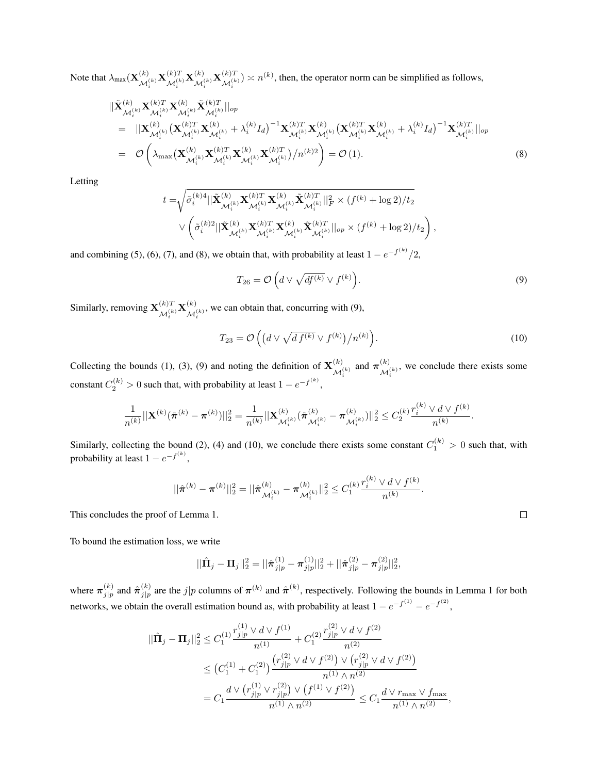Note that  $\lambda_{\text{max}}(\mathbf{X}_{\mathcal{M}}^{(k)})$  $\mathbf{X}^{(k)}_{\mathcal{M}_i^{(k)}} \mathbf{X}^{(k)T}_{\mathcal{M}_i^{(k)}}$  $\mathcal{M}_i^{(k)}\mathbf{X}_{\mathcal{M}_i}^{(k)}$  $\mathbf{X}^{(k)}_{\mathcal{M}_i^{(k)}} \mathbf{X}^{(k)T}_{\mathcal{M}_i^{(k)}}$  $\mathcal{M}_i^{(k)T}$   $> n^{(k)}$ , then, the operator norm can be simplified as follows,

$$
\begin{split}\n&\|\tilde{\mathbf{X}}_{\mathcal{M}_{i}^{(k)}}^{(k)} \mathbf{X}_{\mathcal{M}_{i}^{(k)}}^{(k)T} \mathbf{X}_{\mathcal{M}_{i}^{(k)}}^{(k)} \tilde{\mathbf{X}}_{\mathcal{M}_{i}^{(k)}}^{(k)T}\|_{op} \\
&= \|\mathbf{X}_{\mathcal{M}_{i}^{(k)}}^{(k)} (\mathbf{X}_{\mathcal{M}_{i}^{(k)}}^{(k)T} \mathbf{X}_{\mathcal{M}_{i}^{(k)}}^{(k)} + \lambda_{i}^{(k)} I_{d})^{-1} \mathbf{X}_{\mathcal{M}_{i}^{(k)}}^{(k)T} \mathbf{X}_{\mathcal{M}_{i}^{(k)}}^{(k)} (\mathbf{X}_{\mathcal{M}_{i}^{(k)}}^{(k)T} \mathbf{X}_{\mathcal{M}_{i}^{(k)}}^{(k)} + \lambda_{i}^{(k)} I_{d})^{-1} \mathbf{X}_{\mathcal{M}_{i}^{(k)}}^{(k)T}\|_{op} \\
&= \mathcal{O}\left(\lambda_{\max}(\mathbf{X}_{\mathcal{M}_{i}^{(k)}}^{(k)} \mathbf{X}_{\mathcal{M}_{i}^{(k)}}^{(k)T} \mathbf{X}_{\mathcal{M}_{i}^{(k)}}^{(k)})/n^{(k)2}\right) = \mathcal{O}(1).\n\end{split} \tag{8}
$$

Letting

$$
\begin{aligned} t=&\sqrt{\tilde{\sigma}^{(k)4}_i||\tilde{\mathbf{X}}^{(k)}_{\mathcal{M}^{(k)}_i}\mathbf{X}^{(k)T}_{\mathcal{M}^{(k)}_i}\mathbf{X}^{(k)}_{\mathcal{M}^{(k)}_i}|\tilde{\mathbf{X}}^{(k)T}_{\mathcal{M}^{(k)}_i}||_F^2}\times (f^{(k)}+\log 2)/t_2}\\ &\vee\left(\tilde{\sigma}^{(k)2}_i||\tilde{\mathbf{X}}^{(k)}_{\mathcal{M}^{(k)}_i}\mathbf{X}^{(k)T}_{\mathcal{M}^{(k)}_i}\mathbf{X}^{(k)}_{\mathcal{M}^{(k)}_i}|\big|_{op}\times (f^{(k)}+\log 2)/t_2\right), \end{aligned}
$$

and combining (5), (6), (7), and (8), we obtain that, with probability at least  $1 - e^{-f^{(k)}}/2$ ,

$$
T_{26} = \mathcal{O}\left(d \vee \sqrt{df^{(k)}} \vee f^{(k)}\right).
$$
\n(9)

Similarly, removing  $\mathbf{X}^{(k)T}_{\mathcal{L}(k)}$  $\mathcal{M}_i^{(k)}\mathbf{X}_{\mathcal{M}_i}^{(k)}$  $M_i^{(k)}$ , we can obtain that, concurring with (9),

$$
T_{23} = \mathcal{O}\left( \left( d \vee \sqrt{df^{(k)}} \vee f^{(k)} \right) / n^{(k)} \right). \tag{10}
$$

*.*

 $\Box$ 

Collecting the bounds (1), (3), (9) and noting the definition of  $\mathbf{X}_{k}^{(k)}$  $\begin{bmatrix} (k) \\ \mathcal{M}_i^{(k)} \end{bmatrix}$  and  $\boldsymbol{\pi}_{\mathcal{M}_i}^{(k)}$  $M_i^{(k)}$ , we conclude there exists some constant  $C_2^{(k)} > 0$  such that, with probability at least  $1 - e^{-f^{(k)}},$ 

$$
\frac{1}{n^{(k)}}||\mathbf{X}^{(k)}(\hat{\boldsymbol{\pi}}^{(k)}-\boldsymbol{\pi}^{(k)})||_2^2=\frac{1}{n^{(k)}}||\mathbf{X}^{(k)}_{\mathcal{M}_i^{(k)}}(\hat{\boldsymbol{\pi}}^{(k)}_{\mathcal{M}_i^{(k)}}-\boldsymbol{\pi}^{(k)}_{\mathcal{M}_i^{(k)}})||_2^2\leq C_2^{(k)}\frac{r_i^{(k)}\vee d\vee f^{(k)}}{n^{(k)}}.
$$

Similarly, collecting the bound (2), (4) and (10), we conclude there exists some constant  $C_1^{(k)} > 0$  such that, with probability at least  $1 - e^{-f^{(k)}},$ 

$$
||\hat{\boldsymbol{\pi}}^{(k)}-\boldsymbol{\pi}^{(k)}||_2^2=||\hat{\boldsymbol{\pi}}_{\mathcal{M}_i^{(k)}}^{(k)}-\boldsymbol{\pi}_{\mathcal{M}_i^{(k)}}^{(k)}||_2^2\leq C_1^{(k)}\frac{r_i^{(k)}\vee d\vee f^{(k)}}{n^{(k)}}
$$

This concludes the proof of Lemma 1.

To bound the estimation loss, we write

$$
||\hat{\mathbf{\Pi}}_{j} - \mathbf{\Pi}_{j}||_{2}^{2} = ||\hat{\boldsymbol{\pi}}_{j|p}^{(1)} - \mathbf{\pi}_{j|p}^{(1)}||_{2}^{2} + ||\hat{\boldsymbol{\pi}}_{j|p}^{(2)} - \mathbf{\pi}_{j|p}^{(2)}||_{2}^{2},
$$

where  $\pi^{(k)}_{i|n}$  $j|p \text{ and } \hat{\pi}_{j|p}^{(k)}$  $j_p^{(k)}$  are the *j*|*p* columns of  $\pi^{(k)}$  and  $\hat{\pi}^{(k)}$ , respectively. Following the bounds in Lemma 1 for both networks, we obtain the overall estimation bound as, with probability at least  $1 - e^{-f^{(1)}} - e^{-f^{(2)}}$ ,

$$
\begin{split} ||\hat{\mathbf{\Pi}}_{j} - \mathbf{\Pi}_{j}||_{2}^{2} &\leq C_{1}^{(1)} \frac{r_{j|p}^{(1)} \vee d \vee f^{(1)}}{n^{(1)}} + C_{1}^{(2)} \frac{r_{j|p}^{(2)} \vee d \vee f^{(2)}}{n^{(2)}} \\ &\leq \left(C_{1}^{(1)} + C_{1}^{(2)}\right) \frac{\left(r_{j|p}^{(2)} \vee d \vee f^{(2)}\right) \vee \left(r_{j|p}^{(2)} \vee d \vee f^{(2)}\right)}{n^{(1)} \wedge n^{(2)}} \\ &= C_{1} \frac{d \vee \left(r_{j|p}^{(1)} \vee r_{j|p}^{(2)}\right) \vee \left(f^{(1)} \vee f^{(2)}\right)}{n^{(1)} \wedge n^{(2)}} \leq C_{1} \frac{d \vee r_{\text{max}} \vee f_{\text{max}}}{n^{(1)} \wedge n^{(2)}}, \end{split}
$$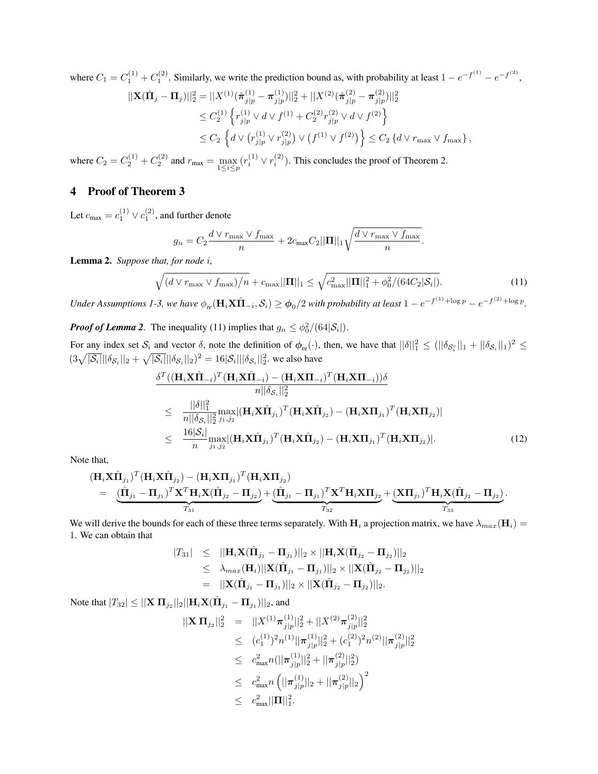where  $C_1 = C_1^{(1)} + C_1^{(2)}$ . Similarly, we write the prediction bound as, with probability at least  $1 - e^{-f^{(1)}} - e^{-f^{(2)}}$ ,

$$
\begin{split} ||\mathbf{X}(\hat{\mathbf{\Pi}}_{j} - \mathbf{\Pi}_{j})||_{2}^{2} &= ||X^{(1)}(\hat{\boldsymbol{\pi}}_{j|p}^{(1)} - \mathbf{\pi}_{j|p}^{(1)})||_{2}^{2} + ||X^{(2)}(\hat{\boldsymbol{\pi}}_{j|p}^{(2)} - \mathbf{\pi}_{j|p}^{(2)})||_{2}^{2} \\ &\leq C_{2}^{(1)} \left\{ r_{j|p}^{(1)} \vee d \vee f^{(1)} + C_{2}^{(2)} r_{j|p}^{(2)} \vee d \vee f^{(2)} \right\} \\ &\leq C_{2} \left\{ d \vee (r_{j|p}^{(1)} \vee r_{j|p}^{(2)}) \vee (f^{(1)} \vee f^{(2)}) \right\} \leq C_{2} \left\{ d \vee r_{\text{max}} \vee f_{\text{max}} \right\}, \end{split}
$$

where  $C_2 = C_2^{(1)} + C_2^{(2)}$  and  $r_{\text{max}} = \max_{1 \le i \le p}$  $(r_i^{(1)} \vee r_i^{(2)})$ . This concludes the proof of Theorem 2.

## 4 Proof of Theorem 3

Let  $c_{\text{max}} = c_1^{(1)} \vee c_1^{(2)}$ , and further denote

$$
g_n = C_2 \frac{d \vee r_{\max} \vee f_{\max}}{n} + 2c_{\max} C_2 ||\mathbf{\Pi}||_1 \sqrt{\frac{d \vee r_{\max} \vee f_{\max}}{n}}.
$$

Lemma 2. *Suppose that, for node i,*

$$
\sqrt{(d \vee r_{\max} \vee f_{\max})/n} + c_{\max} ||\mathbf{\Pi}||_1 \le \sqrt{c_{\max}^2 ||\mathbf{\Pi}||_1^2 + \phi_0^2/(64C_2|\mathcal{S}_i|)}.
$$
(11)

Under Assumptions 1-3, we have  $\phi_{re}(\mathbf{H}_i \mathbf{X} \hat{\mathbf{\Pi}}_{-i}, \mathcal{S}_i) \ge \phi_0/2$  with probability at least  $1 - e^{-f^{(1)} + \log p} - e^{-f^{(2)} + \log p}$ .

*Proof of Lemma 2.* The inequality (11) implies that  $g_n \leq \frac{\phi_0^2}{64|\mathcal{S}_i|}$ .

For any index set  $S_i$  and vector  $\delta$ , note the definition of  $\phi_{re}(\cdot)$ , then, we have that  $||\delta||_1^2 \leq (||\delta_{S_i^c}||_1 + ||\delta_{S_i}||_1)^2 \leq$  $(3\sqrt{|\mathcal{S}_i|}||\delta_{\mathcal{S}_i}||_2 + \sqrt{|\mathcal{S}_i|}||\delta_{\mathcal{S}_i}||_2)^2 = 16|\mathcal{S}_i|||\delta_{\mathcal{S}_i}||_2^2$ , we also have

$$
\frac{\delta^{T}((\mathbf{H}_{i}\mathbf{X}\hat{\mathbf{\Pi}}_{-i})^{T}(\mathbf{H}_{i}\mathbf{X}\hat{\mathbf{\Pi}}_{-i}) - (\mathbf{H}_{i}\mathbf{X}\mathbf{\Pi}_{-i})^{T}(\mathbf{H}_{i}\mathbf{X}\mathbf{\Pi}_{-i}))\delta}{n||\delta_{S_{i}}||_{2}^{2}} \n\leq \frac{||\delta||_{1}^{2}}{n||\delta_{S_{i}}||_{2}^{2}} \max_{j_{1},j_{2}} |(\mathbf{H}_{i}\mathbf{X}\hat{\mathbf{\Pi}}_{j_{1}})^{T}(\mathbf{H}_{i}\mathbf{X}\hat{\mathbf{\Pi}}_{j_{2}}) - (\mathbf{H}_{i}\mathbf{X}\mathbf{\Pi}_{j_{1}})^{T}(\mathbf{H}_{i}\mathbf{X}\mathbf{\Pi}_{j_{2}})| \n\leq \frac{16|\mathcal{S}_{i}|}{n} \max_{j_{1},j_{2}} |(\mathbf{H}_{i}\mathbf{X}\hat{\mathbf{\Pi}}_{j_{1}})^{T}(\mathbf{H}_{i}\mathbf{X}\hat{\mathbf{\Pi}}_{j_{2}}) - (\mathbf{H}_{i}\mathbf{X}\mathbf{\Pi}_{j_{1}})^{T}(\mathbf{H}_{i}\mathbf{X}\mathbf{\Pi}_{j_{2}})|.
$$
\n(12)

Note that,

$$
\begin{aligned} &(\mathbf{H}_{i}\mathbf{X}\hat{\mathbf{\Pi}}_{j_{1}})^{T}(\mathbf{H}_{i}\mathbf{X}\hat{\mathbf{\Pi}}_{j_{2}})-(\mathbf{H}_{i}\mathbf{X}\mathbf{\Pi}_{j_{1}})^{T}(\mathbf{H}_{i}\mathbf{X}\mathbf{\Pi}_{j_{2}})\\ &=\underbrace{\left(\hat{\mathbf{\Pi}}_{j_{1}}-\mathbf{\Pi}_{j_{1}}\right)^{T}\mathbf{X}^{T}\mathbf{H}_{i}\mathbf{X}(\hat{\mathbf{\Pi}}_{j_{2}}-\mathbf{\Pi}_{j_{2}})}_{T_{31}}+\underbrace{\left(\hat{\mathbf{\Pi}}_{j_{1}}-\mathbf{\Pi}_{j_{1}}\right)^{T}\mathbf{X}^{T}\mathbf{H}_{i}\mathbf{X}\mathbf{\Pi}_{j_{2}}}_{T_{32}}+\underbrace{\left(\mathbf{X}\mathbf{\Pi}_{j_{1}}\right)^{T}\mathbf{H}_{i}\mathbf{X}(\hat{\mathbf{\Pi}}_{j_{2}}-\mathbf{\Pi}_{j_{2}})}_{T_{33}}.\end{aligned}
$$

We will derive the bounds for each of these three terms separately. With  $H_i$  a projection matrix, we have  $\lambda_{max}(\mathbf{H}_i)$  = 1. We can obtain that

$$
|T_{31}| \leq ||\mathbf{H}_{i}\mathbf{X}(\hat{\mathbf{\Pi}}_{j_{1}} - \mathbf{\Pi}_{j_{1}})||_{2} \times ||\mathbf{H}_{i}\mathbf{X}(\hat{\mathbf{\Pi}}_{j_{2}} - \mathbf{\Pi}_{j_{2}})||_{2} \leq \lambda_{max}(\mathbf{H}_{i})||\mathbf{X}(\hat{\mathbf{\Pi}}_{j_{1}} - \mathbf{\Pi}_{j_{1}})||_{2} \times ||\mathbf{X}(\hat{\mathbf{\Pi}}_{j_{2}} - \mathbf{\Pi}_{j_{2}})||_{2} = ||\mathbf{X}(\hat{\mathbf{\Pi}}_{j_{1}} - \mathbf{\Pi}_{j_{1}})||_{2} \times ||\mathbf{X}(\hat{\mathbf{\Pi}}_{j_{2}} - \mathbf{\Pi}_{j_{2}})||_{2}.
$$

 $\text{Note that } |T_{32}| \leq ||\mathbf{X} \, \mathbf{\Pi}_{j_2}||_2 ||\mathbf{H}_i \mathbf{X} (\hat{\mathbf{\Pi}}_{j_1} - \mathbf{\Pi}_{j_1}) ||_2 \text{, and}$ 

$$
\begin{array}{rcl} ||\mathbf{X} \, \mathbf{\Pi}_{j_2}||_2^2 &=& ||X^{(1)} \pi_{j|p}^{(1)}||_2^2 + ||X^{(2)} \pi_{j|p}^{(2)}||_2^2 \\ &\leq & (c_1^{(1)})^2 n^{(1)} ||\pi_{j|p}^{(1)}||_2^2 + (c_1^{(2)})^2 n^{(2)} ||\pi_{j|p}^{(2)}||_2^2 \\ &\leq & c_{\text{max}}^2 n (||\pi_{j|p}^{(1)}||_2^2 + ||\pi_{j|p}^{(2)}||_2^2) \\ &\leq & c_{\text{max}}^2 n \left( ||\pi_{j|p}^{(1)}||_2 + ||\pi_{j|p}^{(2)}||_2 \right)^2 \\ &\leq & c_{\text{max}}^2 ||\mathbf{\Pi}||_1^2. \end{array}
$$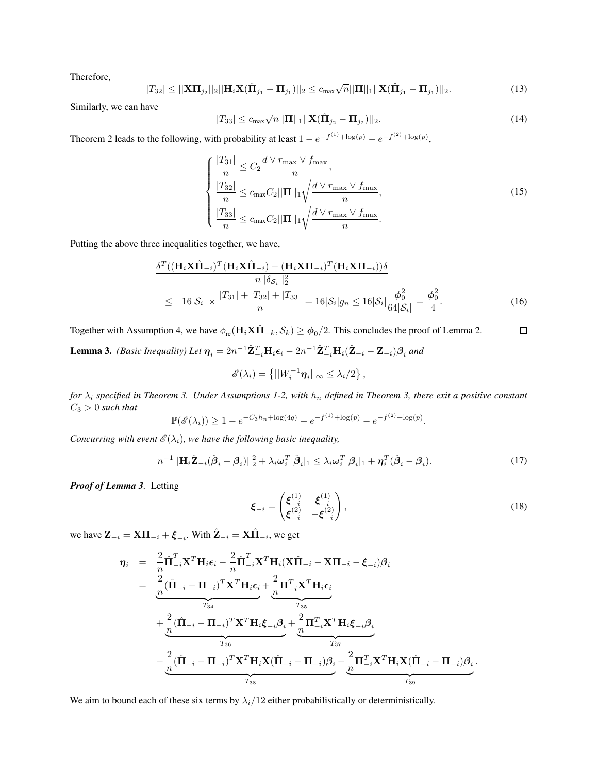Therefore,

$$
|T_{32}| \le ||\mathbf{X}\mathbf{\Pi}_{j_2}||_2||\mathbf{H}_i\mathbf{X}(\hat{\mathbf{\Pi}}_{j_1} - \mathbf{\Pi}_{j_1})||_2 \le c_{\max} \sqrt{n}||\mathbf{\Pi}||_1||\mathbf{X}(\hat{\mathbf{\Pi}}_{j_1} - \mathbf{\Pi}_{j_1})||_2.
$$
 (13)

Similarly, we can have

$$
|T_{33}| \leq c_{\max} \sqrt{n} ||\mathbf{\Pi}||_1 ||\mathbf{X}(\hat{\mathbf{\Pi}}_{j_2} - \mathbf{\Pi}_{j_2})||_2.
$$
 (14)

Theorem 2 leads to the following, with probability at least  $1 - e^{-f^{(1)} + \log(p)} - e^{-f^{(2)} + \log(p)}$ ,

$$
\begin{cases}\n\frac{|T_{31}|}{n} \le C_2 \frac{d \vee r_{\max} \vee f_{\max}}{n}, \n\frac{|T_{32}|}{n} \le c_{\max} C_2 ||\mathbf{\Pi}||_1 \sqrt{\frac{d \vee r_{\max} \vee f_{\max}}{n}}, \n\frac{|T_{33}|}{n} \le c_{\max} C_2 ||\mathbf{\Pi}||_1 \sqrt{\frac{d \vee r_{\max} \vee f_{\max}}{n}}.\n\end{cases}
$$
\n(15)

Putting the above three inequalities together, we have,

$$
\frac{\delta^{T}((\mathbf{H}_{i}\mathbf{X}\hat{\mathbf{\Pi}}_{-i})^{T}(\mathbf{H}_{i}\mathbf{X}\hat{\mathbf{\Pi}}_{-i}) - (\mathbf{H}_{i}\mathbf{X}\mathbf{\Pi}_{-i})^{T}(\mathbf{H}_{i}\mathbf{X}\mathbf{\Pi}_{-i}))\delta}{n||\delta_{S_{i}}||_{2}^{2}}\n\leq 16|\mathcal{S}_{i}| \times \frac{|T_{31}| + |T_{32}| + |T_{33}|}{n} = 16|\mathcal{S}_{i}|g_{n} \leq 16|\mathcal{S}_{i}|\frac{\phi_{0}^{2}}{64|\mathcal{S}_{i}|} = \frac{\phi_{0}^{2}}{4}.
$$
\n(16)

Together with Assumption 4, we have  $\phi_{re}(\mathbf{H}_i \mathbf{X} \hat{\mathbf{\Pi}}_{-k}, \mathcal{S}_k) \ge \phi_0/2$ . This concludes the proof of Lemma 2.  $\Box$ 

**Lemma 3.** (Basic Inequality) Let  $\eta_i = 2n^{-1}\hat{\mathbf{Z}}_{-i}^T \mathbf{H}_i \epsilon_i - 2n^{-1}\hat{\mathbf{Z}}_{-i}^T \mathbf{H}_i (\hat{\mathbf{Z}}_{-i} - \mathbf{Z}_{-i}) \beta_i$  and

$$
\mathscr{E}(\lambda_i) = \left\{ ||W_i^{-1} \boldsymbol{\eta}_i||_{\infty} \leq \lambda_i/2 \right\},\,
$$

*for λ<sup>i</sup> specified in Theorem 3. Under Assumptions 1-2, with h<sup>n</sup> defined in Theorem 3, there exit a positive constant C*<sup>3</sup> *>* 0 *such that*

$$
\mathbb{P}(\mathscr{E}(\lambda_i)) \ge 1 - e^{-C_3 h_n + \log(4q)} - e^{-f^{(1)} + \log(p)} - e^{-f^{(2)} + \log(p)}.
$$

*Concurring with event*  $\mathcal{E}(\lambda_i)$ *, we have the following basic inequality,* 

$$
n^{-1}||\mathbf{H}_{i}\hat{\mathbf{Z}}_{-i}(\hat{\boldsymbol{\beta}}_{i}-\boldsymbol{\beta}_{i})||_{2}^{2}+\lambda_{i}\boldsymbol{\omega}_{i}^{T}|\hat{\boldsymbol{\beta}}_{i}||_{1}\leq\lambda_{i}\boldsymbol{\omega}_{i}^{T}|\boldsymbol{\beta}_{i}||_{1}+\boldsymbol{\eta}_{i}^{T}(\hat{\boldsymbol{\beta}}_{i}-\boldsymbol{\beta}_{i}).
$$
\n(17)

*Proof of Lemma 3.* Letting

$$
\boldsymbol{\xi}_{-i} = \begin{pmatrix} \boldsymbol{\xi}_{-i}^{(1)} & \boldsymbol{\xi}_{-i}^{(1)} \\ \boldsymbol{\xi}_{-i}^{(2)} & -\boldsymbol{\xi}_{-i}^{(2)} \end{pmatrix},
$$
\n(18)

we have  $\mathbf{Z}_{-i} = \mathbf{X}\mathbf{\Pi}_{-i} + \boldsymbol{\xi}_{-i}$ . With  $\hat{\mathbf{Z}}_{-i} = \mathbf{X}\hat{\mathbf{\Pi}}_{-i}$ , we get

$$
\eta_{i} = \frac{2}{n} \hat{\Pi}_{-i}^{T} \mathbf{X}^{T} \mathbf{H}_{i} \boldsymbol{\epsilon}_{i} - \frac{2}{n} \hat{\Pi}_{-i}^{T} \mathbf{X}^{T} \mathbf{H}_{i} (\mathbf{X} \hat{\Pi}_{-i} - \mathbf{X} \Pi_{-i} - \boldsymbol{\xi}_{-i}) \beta_{i}
$$
\n
$$
= \frac{2}{n} (\hat{\Pi}_{-i} - \Pi_{-i})^{T} \mathbf{X}^{T} \mathbf{H}_{i} \boldsymbol{\epsilon}_{i} + \frac{2}{n} \Pi_{-i}^{T} \mathbf{X}^{T} \mathbf{H}_{i} \boldsymbol{\epsilon}_{i}
$$
\n
$$
+ \frac{2}{n} (\hat{\Pi}_{-i} - \Pi_{-i})^{T} \mathbf{X}^{T} \mathbf{H}_{i} \boldsymbol{\xi}_{-i} \beta_{i} + \frac{2}{n} \Pi_{-i}^{T} \mathbf{X}^{T} \mathbf{H}_{i} \boldsymbol{\xi}_{-i} \beta_{i}
$$
\n
$$
- \frac{2}{n} (\hat{\Pi}_{-i} - \Pi_{-i})^{T} \mathbf{X}^{T} \mathbf{H}_{i} \mathbf{X} (\hat{\Pi}_{-i} - \Pi_{-i}) \beta_{i} - \frac{2}{n} \Pi_{-i}^{T} \mathbf{X}^{T} \mathbf{H}_{i} \mathbf{X} (\hat{\Pi}_{-i} - \Pi_{-i}) \beta_{i}.
$$

We aim to bound each of these six terms by  $\lambda_i/12$  either probabilistically or deterministically.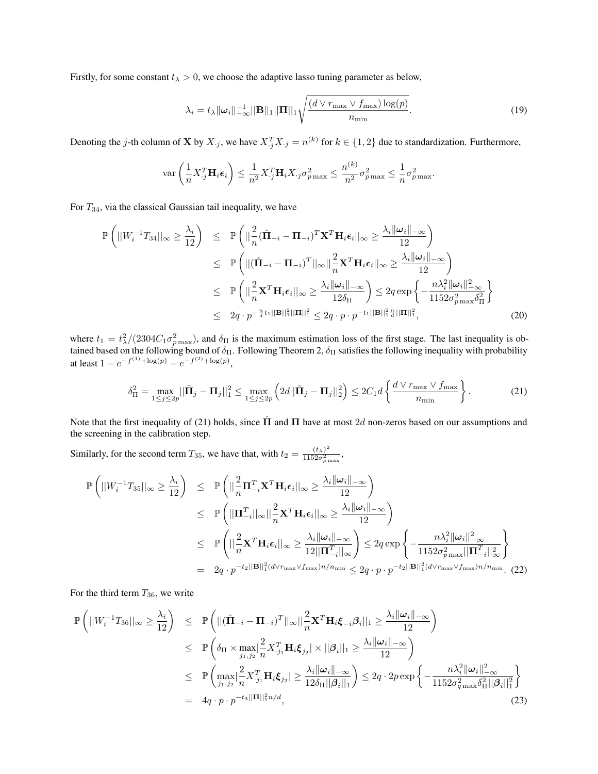Firstly, for some constant  $t_{\lambda} > 0$ , we choose the adaptive lasso tuning parameter as below,

$$
\lambda_i = t_{\lambda} ||\boldsymbol{\omega}_i||_{-\infty}^{-1} ||\mathbf{B}||_1 ||\mathbf{\Pi}||_1 \sqrt{\frac{(d \vee r_{\max} \vee f_{\max}) \log(p)}{n_{\min}}}.
$$
\n(19)

Denoting the j-th column of **X** by  $X_{\cdot j}$ , we have  $X_{\cdot j}^T X_{\cdot j} = n^{(k)}$  for  $k \in \{1, 2\}$  due to standardization. Furthermore,

$$
\text{var}\left(\frac{1}{n}X_j^T\mathbf{H}_i\boldsymbol{\epsilon}_i\right) \leq \frac{1}{n^2}X_j^T\mathbf{H}_iX_{\cdot j}\sigma_{p\max}^2 \leq \frac{n^{(k)}}{n^2}\sigma_{p\max}^2 \leq \frac{1}{n}\sigma_{p\max}^2.
$$

For *T*34, via the classical Gaussian tail inequality, we have

$$
\mathbb{P}\left(||W_i^{-1}T_{34}||_{\infty} \geq \frac{\lambda_i}{12}\right) \leq \mathbb{P}\left(||\frac{2}{n}(\hat{\Pi}_{-i} - \Pi_{-i})^T \mathbf{X}^T \mathbf{H}_i \boldsymbol{\epsilon}_i||_{\infty} \geq \frac{\lambda_i ||\boldsymbol{\omega}_i||_{-\infty}}{12}\right)
$$
\n
$$
\leq \mathbb{P}\left(||(\hat{\Pi}_{-i} - \Pi_{-i})^T||_{\infty}||_{\infty}^2 \mathbf{X}^T \mathbf{H}_i \boldsymbol{\epsilon}_i||_{\infty} \geq \frac{\lambda_i ||\boldsymbol{\omega}_i||_{-\infty}}{12}\right)
$$
\n
$$
\leq \mathbb{P}\left(||\frac{2}{n} \mathbf{X}^T \mathbf{H}_i \boldsymbol{\epsilon}_i||_{\infty} \geq \frac{\lambda_i ||\boldsymbol{\omega}_i||_{-\infty}}{12\delta_{\Pi}}\right) \leq 2q \exp\left\{-\frac{n\lambda_i^2 ||\boldsymbol{\omega}_i||_{-\infty}}{1152\sigma_{p\max}^2 \delta_{\Pi}^2}\right\}
$$
\n
$$
\leq 2q \cdot p^{-\frac{n}{d}t_1 ||\mathbf{B}||_1^2 ||\mathbf{\Pi}||_1^2} \leq 2q \cdot p \cdot p^{-t_1 ||\mathbf{B}||_1^2 \frac{n}{d} ||\mathbf{\Pi}||_1^2},\tag{20}
$$

where  $t_1 = t_\lambda^2/(2304C_1\sigma_{p\max}^2)$ , and  $\delta_{\Pi}$  is the maximum estimation loss of the first stage. The last inequality is obtained based on the following bound of  $\delta_\Pi$ . Following Theorem 2,  $\delta_\Pi$  satisfies the following inequality with probability at least  $1 - e^{-f^{(1)} + \log(p)} - e^{-f^{(2)} + \log(p)}$ ,

$$
\delta_{\Pi}^{2} = \max_{1 \leq j \leq 2p} ||\hat{\Pi}_{j} - \Pi_{j}||_{1}^{2} \leq \max_{1 \leq j \leq 2p} \left( 2d ||\hat{\Pi}_{j} - \Pi_{j}||_{2}^{2} \right) \leq 2C_{1}d \left\{ \frac{d \vee r_{\max} \vee f_{\max}}{n_{\min}} \right\}.
$$
 (21)

Note that the first inequality of (21) holds, since **Π**ˆ and **Π** have at most 2*d* non-zeros based on our assumptions and the screening in the calibration step.

Similarly, for the second term  $T_{35}$ , we have that, with  $t_2 = \frac{(t_\lambda)^2}{1152\sigma^2}$  $\frac{(\iota_{\lambda})}{1152\sigma_{p\max}^2}$ ,

$$
\mathbb{P}\left(||W_i^{-1}T_{35}||_{\infty} \geq \frac{\lambda_i}{12}\right) \leq \mathbb{P}\left(||\frac{2}{n}\Pi_{-i}^T \mathbf{X}^T \mathbf{H}_i \boldsymbol{\epsilon}_i||_{\infty} \geq \frac{\lambda_i ||\boldsymbol{\omega}_i||_{-\infty}}{12}\right)
$$
\n
$$
\leq \mathbb{P}\left(||\Pi_{-i}^T||_{\infty}||_{n}^2 \mathbf{X}^T \mathbf{H}_i \boldsymbol{\epsilon}_i||_{\infty} \geq \frac{\lambda_i ||\boldsymbol{\omega}_i||_{-\infty}}{12}\right)
$$
\n
$$
\leq \mathbb{P}\left(||\frac{2}{n}\mathbf{X}^T \mathbf{H}_i \boldsymbol{\epsilon}_i||_{\infty} \geq \frac{\lambda_i ||\boldsymbol{\omega}_i||_{-\infty}}{12||\Pi_{-i}^T||_{\infty}}\right) \leq 2q \exp\left\{-\frac{n\lambda_i^2 ||\boldsymbol{\omega}_i||_{-\infty}^2}{1152\sigma_{p\max}^2 ||\Pi_{-i}^T||_{\infty}^2}\right\}
$$
\n
$$
= 2q \cdot p^{-t_2 ||\mathbf{B}||_1^2 (d \lor r_{\max} \lor f_{\max}) n/n_{\min}} \leq 2q \cdot p \cdot p^{-t_2 ||\mathbf{B}||_1^2 (d \lor r_{\max} \lor f_{\max}) n/n_{\min}}. (22)
$$

For the third term  $T_{36}$ , we write

$$
\mathbb{P}\left(||W_i^{-1}T_{36}||_{\infty} \geq \frac{\lambda_i}{12}\right) \leq \mathbb{P}\left(||(\hat{\mathbf{\Pi}}_{-i} - \mathbf{\Pi}_{-i})^T||_{\infty}||_{\frac{2}{n}}\mathbf{X}^T\mathbf{H}_i\xi_{-i}\beta_i||_1 \geq \frac{\lambda_i||\boldsymbol{\omega}_i||_{-\infty}}{12}\right)
$$
  
\n
$$
\leq \mathbb{P}\left(\delta_{\Pi} \times \max_{j_1, j_2} \left|\frac{2}{n} \mathbf{X}_{-j_1}^T \mathbf{H}_i\xi_{j_2}\right| \times ||\beta_i||_1 \geq \frac{\lambda_i||\boldsymbol{\omega}_i||_{-\infty}}{12}\right)
$$
  
\n
$$
\leq \mathbb{P}\left(\max_{j_1, j_2} \left|\frac{2}{n} \mathbf{X}_{-j_1}^T \mathbf{H}_i\xi_{j_2}\right| \geq \frac{\lambda_i||\boldsymbol{\omega}_i||_{-\infty}}{12\delta_{\Pi}||\beta_i||_1}\right) \leq 2q \cdot 2p \exp\left\{-\frac{n\lambda_i^2||\boldsymbol{\omega}_i||_{-\infty}^2}{1152\sigma_{q\max}^2\delta_{\Pi}^2||\beta_i||_1^2}\right\}
$$
  
\n=  $4q \cdot p \cdot p^{-t_3||\Pi||_1^2 n/d}$ , (23)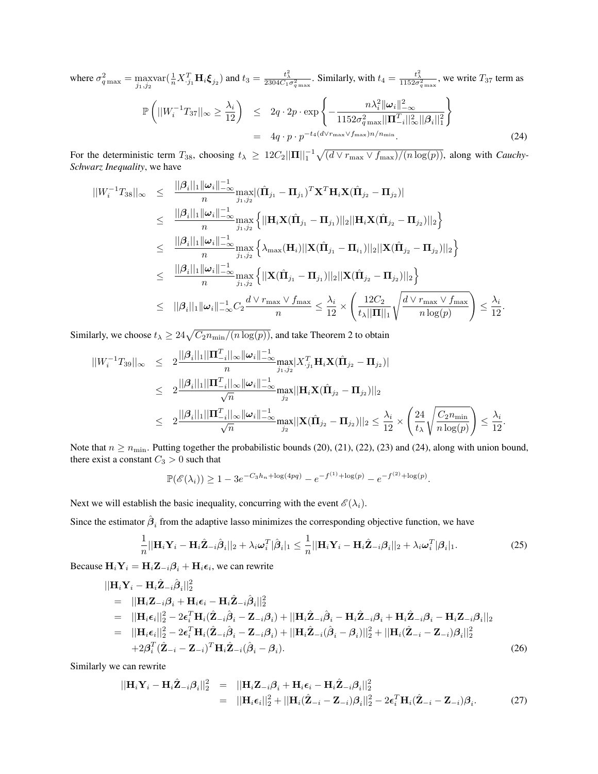where  $\sigma_{q\max}^2 = \max_{j_1,j_2} \text{var}(\frac{1}{n}X_{j_1}^T \mathbf{H}_i \boldsymbol{\xi}_{j_2})$  and  $t_3 = \frac{t_\lambda^2}{2304C_1\sigma_{q\max}^2}$ . Similarly, with  $t_4 = \frac{t_\lambda^2}{1152\sigma_{q\max}^2}$ , we write  $T_{37}$  term as P  $\left( ||W_i^{-1}T_{37}||_{\infty} \ge \frac{\lambda_i}{12} \right) \le 2q \cdot 2p \cdot \exp \left\{-\frac{n\lambda_i^2 ||\omega_i||^2}{1152\sigma_{\text{conv}}^2 ||\Pi_i^T\right\}$ *−∞*  $1152\sigma_{q\max}^2 ||\mathbf{\Pi}_{-i}^T||_\infty^2 ||\boldsymbol{\beta}_{i}||_1^2$  $\lambda$  $= 4q \cdot p \cdot p^{-t_4(d \vee r_{\text{max}} \vee f_{\text{max}})n/n_{\text{min}}}$ *.* (24)

For the deterministic term  $T_{38}$ , choosing  $t_{\lambda} \ge 12C_2 ||\mathbf{\Pi}||_1^{-1} \sqrt{(d \vee r_{\max} \vee f_{\max})/(n \log(p))}$ , along with *Cauchy*-*Schwarz Inequality*, we have

$$
||W_{i}^{-1}T_{38}||_{\infty} \leq \frac{||\beta_{i}||_{1}||\omega_{i}||_{-\infty}^{-1}}{n} \max_{j_{1},j_{2}} |(\hat{\mathbf{\Pi}}_{j_{1}} - \mathbf{\Pi}_{j_{1}})^{T} \mathbf{X}^{T} \mathbf{H}_{i} \mathbf{X}(\hat{\mathbf{\Pi}}_{j_{2}} - \mathbf{\Pi}_{j_{2}})|
$$
  
\n
$$
\leq \frac{||\beta_{i}||_{1}||\omega_{i}||_{-\infty}^{-1}}{n} \max_{j_{1},j_{2}} \left\{ ||\mathbf{H}_{i} \mathbf{X}(\hat{\mathbf{\Pi}}_{j_{1}} - \mathbf{\Pi}_{j_{1}})||_{2} ||\mathbf{H}_{i} \mathbf{X}(\hat{\mathbf{\Pi}}_{j_{2}} - \mathbf{\Pi}_{j_{2}})||_{2} \right\}
$$
  
\n
$$
\leq \frac{||\beta_{i}||_{1}||\omega_{i}||_{-\infty}^{-1}}{n} \max_{j_{1},j_{2}} \left\{ \lambda_{\max}(\mathbf{H}_{i}) ||\mathbf{X}(\hat{\mathbf{\Pi}}_{j_{1}} - \mathbf{\Pi}_{i_{1}})||_{2} ||\mathbf{X}(\hat{\mathbf{\Pi}}_{j_{2}} - \mathbf{\Pi}_{j_{2}})||_{2} \right\}
$$
  
\n
$$
\leq \frac{||\beta_{i}||_{1}||\omega_{i}||_{-\infty}^{-1}}{n} \max_{j_{1},j_{2}} \left\{ ||\mathbf{X}(\hat{\mathbf{\Pi}}_{j_{1}} - \mathbf{\Pi}_{j_{1}})||_{2} ||\mathbf{X}(\hat{\mathbf{\Pi}}_{j_{2}} - \mathbf{\Pi}_{j_{2}})||_{2} \right\}
$$
  
\n
$$
\leq ||\beta_{i}||_{1} ||\omega_{i}||_{-\infty}^{-1} C_{2} \frac{d \vee r_{\max} \vee f_{\max}}{n} \leq \frac{\lambda_{i}}{12} \times \left( \frac{12C_{2}}{t_{\lambda} ||\mathbf{\Pi}||_{1}} \sqrt{\frac{d \vee r_{\max} \vee f_{\max}}{n} \right) \leq \frac{\lambda_{i}}{12}.
$$

Similarly, we choose  $t_{\lambda} \geq 24\sqrt{C_2 n_{\min}/(n \log(p))}$ , and take Theorem 2 to obtain

$$
||W_{i}^{-1}T_{39}||_{\infty} \leq 2 \frac{||\beta_{i}||_{1}||\mathbf{\Pi}_{-i}^{T}||_{\infty}||\omega_{i}||_{-\infty}^{-1}}{n} \max_{j_{1},j_{2}}|X_{.j_{1}}^{T} \mathbf{H}_{i} \mathbf{X}(\hat{\mathbf{\Pi}}_{j_{2}} - \mathbf{\Pi}_{j_{2}})|
$$
  
\n
$$
\leq 2 \frac{||\beta_{i}||_{1}||\mathbf{\Pi}_{-i}^{T}||_{\infty}||\omega_{i}||_{-\infty}^{-1}}{\sqrt{n}} \max_{j_{2}} ||\mathbf{H}_{i} \mathbf{X}(\hat{\mathbf{\Pi}}_{j_{2}} - \mathbf{\Pi}_{j_{2}})||_{2}
$$
  
\n
$$
\leq 2 \frac{||\beta_{i}||_{1}||\mathbf{\Pi}_{-i}^{T}||_{\infty}||\omega_{i}||_{-\infty}^{-1}}{\sqrt{n}} \max_{j_{2}} ||\mathbf{X}(\hat{\mathbf{\Pi}}_{j_{2}} - \mathbf{\Pi}_{j_{2}})||_{2} \leq \frac{\lambda_{i}}{12} \times \left(\frac{24}{t_{\lambda}} \sqrt{\frac{C_{2}n_{\min}}{n \log(p)}}\right) \leq \frac{\lambda_{i}}{12}.
$$

Note that  $n \ge n_{\min}$ . Putting together the probabilistic bounds (20), (21), (22), (23) and (24), along with union bound, there exist a constant  $C_3 > 0$  such that

$$
\mathbb{P}(\mathscr{E}(\lambda_i)) \ge 1 - 3e^{-C_3h_n + \log(4pq)} - e^{-f^{(1)} + \log(p)} - e^{-f^{(2)} + \log(p)}
$$

Next we will establish the basic inequality, concurring with the event  $\mathscr{E}(\lambda_i)$ .

Since the estimator  $\hat{\beta}_i$  from the adaptive lasso minimizes the corresponding objective function, we have

$$
\frac{1}{n}||\mathbf{H}_{i}\mathbf{Y}_{i} - \mathbf{H}_{i}\hat{\mathbf{Z}}_{-i}\hat{\boldsymbol{\beta}}_{i}||_{2} + \lambda_{i}\omega_{i}^{T}|\hat{\boldsymbol{\beta}}_{i}|_{1} \leq \frac{1}{n}||\mathbf{H}_{i}\mathbf{Y}_{i} - \mathbf{H}_{i}\hat{\mathbf{Z}}_{-i}\boldsymbol{\beta}_{i}||_{2} + \lambda_{i}\omega_{i}^{T}|\boldsymbol{\beta}_{i}|_{1}.
$$
 (25)

*.*

Because  $\mathbf{H}_i \mathbf{Y}_i = \mathbf{H}_i \mathbf{Z}_{-i} \beta_i + \mathbf{H}_i \epsilon_i$ , we can rewrite

$$
\begin{split}\n\|\mathbf{H}_{i}\mathbf{Y}_{i}-\mathbf{H}_{i}\hat{\mathbf{Z}}_{-i}\hat{\boldsymbol{\beta}}_{i}\|_{2}^{2} \\
&= \|\mathbf{H}_{i}\mathbf{Z}_{-i}\hat{\boldsymbol{\beta}}_{i}\|_{2}^{2} \\
&= \|\mathbf{H}_{i}\mathbf{Z}_{-i}\hat{\boldsymbol{\beta}}_{i}+\mathbf{H}_{i}\boldsymbol{\epsilon}_{i}-\mathbf{H}_{i}\hat{\mathbf{Z}}_{-i}\hat{\boldsymbol{\beta}}_{i}\|_{2}^{2} \\
&= \|\mathbf{H}_{i}\boldsymbol{\epsilon}_{i}\|_{2}^{2} - 2\boldsymbol{\epsilon}_{i}^{T}\mathbf{H}_{i}(\hat{\mathbf{Z}}_{-i}\hat{\boldsymbol{\beta}}_{i} - \mathbf{Z}_{-i}\boldsymbol{\beta}_{i}) + \|\mathbf{H}_{i}\hat{\mathbf{Z}}_{-i}\hat{\boldsymbol{\beta}}_{i} - \mathbf{H}_{i}\hat{\mathbf{Z}}_{-i}\boldsymbol{\beta}_{i} + \mathbf{H}_{i}\hat{\mathbf{Z}}_{-i}\boldsymbol{\beta}_{i} - \mathbf{H}_{i}\mathbf{Z}_{-i}\boldsymbol{\beta}_{i}\|_{2} \\
&= \|\mathbf{H}_{i}\boldsymbol{\epsilon}_{i}\|_{2}^{2} - 2\boldsymbol{\epsilon}_{i}^{T}\mathbf{H}_{i}(\hat{\mathbf{Z}}_{-i}\hat{\boldsymbol{\beta}}_{i} - \mathbf{Z}_{-i}\boldsymbol{\beta}_{i}) + \|\mathbf{H}_{i}\hat{\mathbf{Z}}_{-i}(\hat{\boldsymbol{\beta}}_{i} - \boldsymbol{\beta}_{i})\|_{2}^{2} + \|\mathbf{H}_{i}(\hat{\mathbf{Z}}_{-i} - \mathbf{Z}_{-i})\boldsymbol{\beta}_{i}\|_{2}^{2} \\
&+ 2\boldsymbol{\beta}_{i}^{T}(\hat{\mathbf{Z}}_{-i} - \mathbf{Z}_{-i})^{T}\mathbf{H}_{i}\hat{\mathbf{Z}}_{-i}(\hat{\boldsymbol{\beta}}_{i} - \boldsymbol{\beta}_{i}).\n\end{split} \tag{26}
$$

Similarly we can rewrite

$$
\|\mathbf{H}_{i}\mathbf{Y}_{i}-\mathbf{H}_{i}\hat{\mathbf{Z}}_{-i}\boldsymbol{\beta}_{i}\|_{2}^{2} = \|\mathbf{H}_{i}\mathbf{Z}_{-i}\boldsymbol{\beta}_{i}+\mathbf{H}_{i}\boldsymbol{\epsilon}_{i}-\mathbf{H}_{i}\hat{\mathbf{Z}}_{-i}\boldsymbol{\beta}_{i}\|_{2}^{2}
$$
  
\n
$$
= \|\mathbf{H}_{i}\boldsymbol{\epsilon}_{i}\|_{2}^{2} + \|\mathbf{H}_{i}(\hat{\mathbf{Z}}_{-i}-\mathbf{Z}_{-i})\boldsymbol{\beta}_{i}\|_{2}^{2} - 2\boldsymbol{\epsilon}_{i}^{T}\mathbf{H}_{i}(\hat{\mathbf{Z}}_{-i}-\mathbf{Z}_{-i})\boldsymbol{\beta}_{i}.
$$
 (27)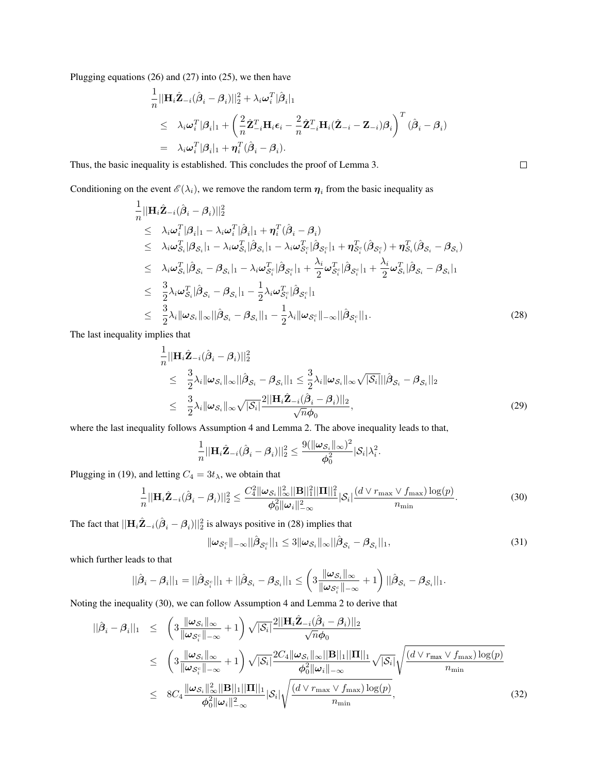Plugging equations (26) and (27) into (25), we then have

$$
\frac{1}{n} ||\mathbf{H}_{i} \hat{\mathbf{Z}}_{-i} (\hat{\boldsymbol{\beta}}_{i} - \boldsymbol{\beta}_{i}) ||_{2}^{2} + \lambda_{i} \boldsymbol{\omega}_{i}^{T} |\hat{\boldsymbol{\beta}}_{i}|_{1} \n\leq \lambda_{i} \boldsymbol{\omega}_{i}^{T} |\boldsymbol{\beta}_{i}|_{1} + \left( \frac{2}{n} \hat{\mathbf{Z}}_{-i}^{T} \mathbf{H}_{i} \epsilon_{i} - \frac{2}{n} \hat{\mathbf{Z}}_{-i}^{T} \mathbf{H}_{i} (\hat{\mathbf{Z}}_{-i} - \mathbf{Z}_{-i}) \boldsymbol{\beta}_{i} \right)^{T} (\hat{\boldsymbol{\beta}}_{i} - \boldsymbol{\beta}_{i}) \n= \lambda_{i} \boldsymbol{\omega}_{i}^{T} |\boldsymbol{\beta}_{i}|_{1} + \boldsymbol{\eta}_{i}^{T} (\hat{\boldsymbol{\beta}}_{i} - \boldsymbol{\beta}_{i}).
$$

Thus, the basic inequality is established. This concludes the proof of Lemma 3.

Conditioning on the event  $\mathscr{E}(\lambda_i)$ , we remove the random term  $\eta_i$  from the basic inequality as

$$
\frac{1}{n} ||\mathbf{H}_{i} \hat{\mathbf{Z}}_{-i}(\hat{\boldsymbol{\beta}}_{i} - \boldsymbol{\beta}_{i})||_{2}^{2} \n\leq \lambda_{i} \omega_{i}^{T} |\boldsymbol{\beta}_{i}|_{1} - \lambda_{i} \omega_{i}^{T} |\hat{\boldsymbol{\beta}}_{i}|_{1} + \boldsymbol{\eta}_{i}^{T}(\hat{\boldsymbol{\beta}}_{i} - \boldsymbol{\beta}_{i}) \n\leq \lambda_{i} \omega_{S_{i}}^{T} |\boldsymbol{\beta}_{S_{i}}|_{1} - \lambda_{i} \omega_{S_{i}}^{T} |\hat{\boldsymbol{\beta}}_{S_{i}}|_{1} - \lambda_{i} \omega_{S_{i}}^{T} |\hat{\boldsymbol{\beta}}_{S_{i}}|_{1} + \boldsymbol{\eta}_{S_{i}}^{T}(\hat{\boldsymbol{\beta}}_{S_{i}}) + \boldsymbol{\eta}_{S_{i}}^{T}(\hat{\boldsymbol{\beta}}_{S_{i}} - \boldsymbol{\beta}_{S_{i}}) \n\leq \lambda_{i} \omega_{S_{i}}^{T} |\hat{\boldsymbol{\beta}}_{S_{i}} - \boldsymbol{\beta}_{S_{i}}|_{1} - \lambda_{i} \omega_{S_{i}}^{T} |\hat{\boldsymbol{\beta}}_{S_{i}}|_{1} + \frac{\lambda_{i}}{2} \omega_{S_{i}}^{T} |\hat{\boldsymbol{\beta}}_{S_{i}}|_{1} + \frac{\lambda_{i}}{2} \omega_{S_{i}}^{T} |\hat{\boldsymbol{\beta}}_{S_{i}} - \boldsymbol{\beta}_{S_{i}}|_{1} \n\leq \frac{3}{2} \lambda_{i} \omega_{S_{i}}^{T} |\hat{\boldsymbol{\beta}}_{S_{i}} - \boldsymbol{\beta}_{S_{i}}|_{1} - \frac{1}{2} \lambda_{i} \omega_{S_{i}}^{T} |\hat{\boldsymbol{\beta}}_{S_{i}}|_{1} \n\leq \frac{3}{2} \lambda_{i} ||\omega_{S_{i}} ||\infty ||\hat{\boldsymbol{\beta}}_{S_{i}} - \boldsymbol{\beta}_{S_{i}}||_{1} - \frac{1}{2} \lambda_{i} ||\omega_{S_{i}}^{T} ||\infty ||\hat{\boldsymbol{\beta}}_{S_{i}}||_{1}.
$$
\n(28)

The last inequality implies that

$$
\frac{1}{n}||\mathbf{H}_{i}\hat{\mathbf{Z}}_{-i}(\hat{\boldsymbol{\beta}}_{i}-\boldsymbol{\beta}_{i})||_{2}^{2} \n\leq \frac{3}{2}\lambda_{i}||\boldsymbol{\omega}_{\mathcal{S}_{i}}||_{\infty}||\hat{\boldsymbol{\beta}}_{\mathcal{S}_{i}}-\boldsymbol{\beta}_{\mathcal{S}_{i}}||_{1} \leq \frac{3}{2}\lambda_{i}||\boldsymbol{\omega}_{\mathcal{S}_{i}}||_{\infty}\sqrt{|\mathcal{S}_{i}|}||\hat{\boldsymbol{\beta}}_{\mathcal{S}_{i}}-\boldsymbol{\beta}_{\mathcal{S}_{i}}||_{2} \n\leq \frac{3}{2}\lambda_{i}||\boldsymbol{\omega}_{\mathcal{S}_{i}}||_{\infty}\sqrt{|\mathcal{S}_{i}|}\frac{2||\mathbf{H}_{i}\hat{\mathbf{Z}}_{-i}(\hat{\boldsymbol{\beta}}_{i}-\boldsymbol{\beta}_{i})||_{2}}{\sqrt{n}\phi_{0}},
$$
\n(29)

where the last inequality follows Assumption 4 and Lemma 2. The above inequality leads to that,

$$
\frac{1}{n}||\mathbf{H}_i\hat{\mathbf{Z}}_{-i}(\hat{\boldsymbol{\beta}}_i-\boldsymbol{\beta}_i)||_2^2 \leq \frac{9(||\boldsymbol{\omega}_{\mathcal{S}_i}||_{\infty})^2}{\boldsymbol{\phi}_0^2}|\mathcal{S}_i|\lambda_i^2.
$$

Plugging in (19), and letting  $C_4 = 3t_\lambda$ , we obtain that

$$
\frac{1}{n}||\mathbf{H}_{i}\hat{\mathbf{Z}}_{-i}(\hat{\boldsymbol{\beta}}_{i}-\boldsymbol{\beta}_{i})||_{2}^{2} \leq \frac{C_{4}^{2}||\boldsymbol{\omega}_{\mathcal{S}_{i}}||_{\infty}^{2}||\mathbf{B}||_{1}^{2}||\mathbf{\Pi}||_{1}^{2}}{\phi_{0}^{2}||\boldsymbol{\omega}_{i}||_{-\infty}^{2}}|\mathcal{S}_{i}|\frac{(d\vee r_{\max}\vee f_{\max})\log(p)}{n_{\min}}.
$$
\n(30)

The fact that  $||\mathbf{H}_i\hat{\mathbf{Z}}_{-i}(\hat{\boldsymbol{\beta}}_i - \boldsymbol{\beta}_i)||_2^2$  is always positive in (28) implies that

$$
\|\boldsymbol{\omega}_{\mathcal{S}_i^c}\|_{-\infty} \|\hat{\boldsymbol{\beta}}_{\mathcal{S}_i^c}\|_1 \leq 3 \|\boldsymbol{\omega}_{\mathcal{S}_i}\|_{\infty} \|\hat{\boldsymbol{\beta}}_{\mathcal{S}_i} - \boldsymbol{\beta}_{\mathcal{S}_i}\|_1,
$$
\n(31)

which further leads to that

$$
||\hat{\boldsymbol{\beta}}_i - \boldsymbol{\beta}_i||_1 = ||\hat{\boldsymbol{\beta}}_{\mathcal{S}_i^c}||_1 + ||\hat{\boldsymbol{\beta}}_{\mathcal{S}_i} - \boldsymbol{\beta}_{\mathcal{S}_i}||_1 \leq \left(3\frac{\|\boldsymbol{\omega}_{\mathcal{S}_i}\|_\infty}{\|\boldsymbol{\omega}_{\mathcal{S}_i^c}\|_\infty} + 1\right)||\hat{\boldsymbol{\beta}}_{\mathcal{S}_i} - \boldsymbol{\beta}_{\mathcal{S}_i}||_1.
$$

Noting the inequality (30), we can follow Assumption 4 and Lemma 2 to derive that

$$
\begin{split}\n||\hat{\beta}_{i} - \beta_{i}||_{1} &\leq \left(3 \frac{\|\omega_{\mathcal{S}_{i}}\|_{\infty}}{\|\omega_{\mathcal{S}_{i}^{c}}\|_{-\infty}} + 1\right) \sqrt{|\mathcal{S}_{i}|} \frac{2||\mathbf{H}_{i}\hat{\mathbf{Z}}_{-i}(\hat{\beta}_{i} - \beta_{i})||_{2}}{\sqrt{n}\phi_{0}} \\
&\leq \left(3 \frac{\|\omega_{\mathcal{S}_{i}}\|_{\infty}}{\|\omega_{\mathcal{S}_{i}^{c}}\|_{-\infty}} + 1\right) \sqrt{|\mathcal{S}_{i}|} \frac{2C_{4}\|\omega_{\mathcal{S}_{i}}\|_{\infty}||\mathbf{B}||_{1}||\mathbf{H}||_{1}}{\phi_{0}^{2}||\omega_{i}||_{-\infty}} \sqrt{|\mathcal{S}_{i}|} \sqrt{\frac{(d \vee r_{\text{max}} \vee f_{\text{max}}) \log(p)}{n_{\text{min}}}} \\
&\leq 8C_{4} \frac{\|\omega_{\mathcal{S}_{i}}\|_{\infty}^{2}||\mathbf{B}||_{1}||\mathbf{H}||_{1}}{\phi_{0}^{2}||\omega_{i}||_{-\infty}} |\mathcal{S}_{i}|\sqrt{\frac{(d \vee r_{\text{max}} \vee f_{\text{max}}) \log(p)}{n_{\text{min}}}},\n\end{split} \tag{32}
$$

 $\Box$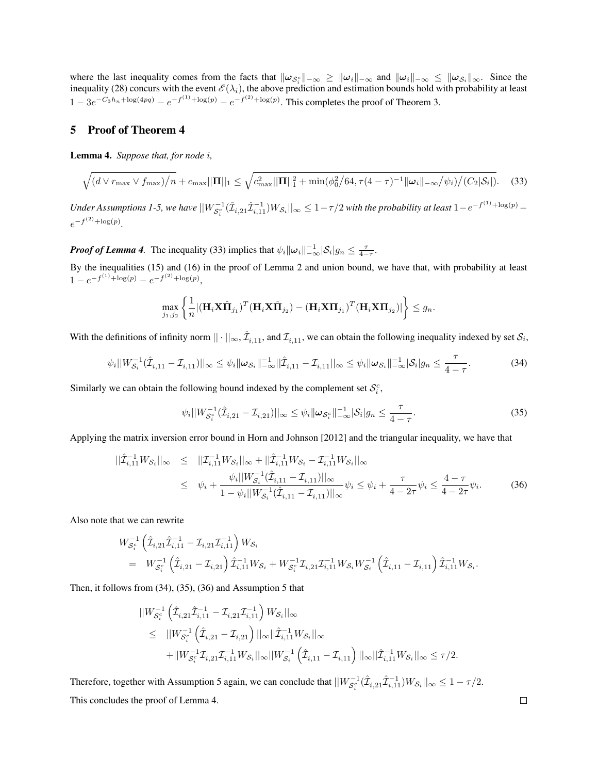where the last inequality comes from the facts that  $\|\omega_{\mathcal{S}_i^c}\|_{-\infty} \ge \|\omega_i\|_{-\infty}$  and  $\|\omega_i\|_{-\infty} \le \|\omega_{\mathcal{S}_i}\|_{\infty}$ . Since the inequality (28) concurs with the event  $\mathscr{E}(\lambda_i)$ , the above prediction and estimation bounds hold with probability at least  $1 - 3e^{-C_3h_n + \log(4pq)} - e^{-f^{(1)} + \log(p)} - e^{-f^{(2)} + \log(p)}$ . This completes the proof of Theorem 3.

## 5 Proof of Theorem 4

Lemma 4. *Suppose that, for node i,*

$$
\sqrt{(d \vee r_{\max} \vee f_{\max})/n} + c_{\max} ||\mathbf{\Pi}||_1 \leq \sqrt{c_{\max}^2 ||\mathbf{\Pi}||_1^2 + \min(\phi_0^2/64, \tau(4-\tau)^{-1} ||\boldsymbol{\omega}_i||_{-\infty}/\psi_i)/(C_2|\mathcal{S}_i|)}.
$$
 (33)

Under Assumptions 1-5, we have  $||W_{S_i^c}^{-1}(\hat{\mathcal{I}}_{i,21}\hat{\mathcal{I}}_{i,11}^{-1})W_{S_i}||_{\infty} \leq 1-\tau/2$  with the probability at least  $1-e^{-f^{(1)}+\log(p)}$   $e^{-f^{(2)} + \log(p)}$ .

*Proof of Lemma 4.* The inequality (33) implies that  $\psi_i ||\omega_i||_{-\infty}^{-1} |\mathcal{S}_i| g_n \leq \frac{\tau}{4-\tau}$ .

By the inequalities (15) and (16) in the proof of Lemma 2 and union bound, we have that, with probability at least  $1 - e^{-f^{(1)} + \log(p)} - e^{-f^{(2)} + \log(p)},$ 

$$
\max_{j_1,j_2}\left\{\frac{1}{n}|(\mathbf{H}_i\mathbf{X}\hat{\mathbf{\Pi}}_{j_1})^T(\mathbf{H}_i\mathbf{X}\hat{\mathbf{\Pi}}_{j_2})-(\mathbf{H}_i\mathbf{X}\mathbf{\Pi}_{j_1})^T(\mathbf{H}_i\mathbf{X}\mathbf{\Pi}_{j_2})|\right\}\leq g_n.
$$

With the definitions of infinity norm  $||\cdot||_{\infty}$ ,  $\hat{\mathcal{I}}_{i,11}$ , and  $\mathcal{I}_{i,11}$ , we can obtain the following inequality indexed by set  $\mathcal{S}_i$ ,

$$
\psi_i||W_{\mathcal{S}_i}^{-1}(\hat{\mathcal{I}}_{i,11} - \mathcal{I}_{i,11})||_{\infty} \leq \psi_i||\boldsymbol{\omega}_{\mathcal{S}_i}||_{-\infty}^{-1}||\hat{\mathcal{I}}_{i,11} - \mathcal{I}_{i,11}||_{\infty} \leq \psi_i||\boldsymbol{\omega}_{\mathcal{S}_i}||_{-\infty}^{-1}|\mathcal{S}_i|g_n \leq \frac{\tau}{4-\tau}.
$$
\n(34)

Similarly we can obtain the following bound indexed by the complement set  $S_i^c$ ,

$$
\psi_i||W_{\mathcal{S}_i^c}^{-1}(\hat{\mathcal{I}}_{i,21} - \mathcal{I}_{i,21})||_{\infty} \leq \psi_i ||\boldsymbol{\omega}_{\mathcal{S}_i^c}||_{-\infty}^{-1}|\mathcal{S}_i|g_n \leq \frac{\tau}{4-\tau}.
$$
\n(35)

Applying the matrix inversion error bound in Horn and Johnson [2012] and the triangular inequality, we have that

$$
\begin{split} ||\hat{\mathcal{I}}_{i,11}^{-1}W_{\mathcal{S}_i}||_{\infty} &\leq ||\mathcal{I}_{i,11}^{-1}W_{\mathcal{S}_i}||_{\infty} + ||\hat{\mathcal{I}}_{i,11}^{-1}W_{\mathcal{S}_i} - \mathcal{I}_{i,11}^{-1}W_{\mathcal{S}_i}||_{\infty} \\ &\leq \psi_i + \frac{\psi_i||W_{\mathcal{S}_i}^{-1}(\hat{\mathcal{I}}_{i,11} - \mathcal{I}_{i,11})||_{\infty}}{1 - \psi_i||W_{\mathcal{S}_i}^{-1}(\hat{\mathcal{I}}_{i,11} - \mathcal{I}_{i,11})||_{\infty}} \psi_i \leq \psi_i + \frac{\tau}{4 - 2\tau} \psi_i \leq \frac{4 - \tau}{4 - 2\tau} \psi_i. \end{split} \tag{36}
$$

Also note that we can rewrite

$$
\begin{array}{lll} W_{\mathcal{S}_{i}^{c}}^{-1} \left( \hat{\mathcal{I}}_{i,21} \hat{\mathcal{I}}_{i,11}^{-1} - \mathcal{I}_{i,21} \mathcal{I}_{i,11}^{-1} \right) W_{\mathcal{S}_{i}} & \\ & = & W_{\mathcal{S}_{i}^{c}}^{-1} \left( \hat{\mathcal{I}}_{i,21} - \mathcal{I}_{i,21} \right) \hat{\mathcal{I}}_{i,11}^{-1} W_{\mathcal{S}_{i}} + W_{\mathcal{S}_{i}^{c}}^{-1} \mathcal{I}_{i,21} \mathcal{I}_{i,11}^{-1} W_{\mathcal{S}_{i}} W_{\mathcal{S}_{i}}^{-1} \left( \hat{\mathcal{I}}_{i,11} - \mathcal{I}_{i,11} \right) \hat{\mathcal{I}}_{i,11}^{-1} W_{\mathcal{S}_{i}}. \end{array}
$$

Then, it follows from (34), (35), (36) and Assumption 5 that

$$
\label{eq:20} \begin{split} &||W_{\mathcal{S}_i^c}^{-1}\left(\hat{\mathcal{I}}_{i,21}\hat{\mathcal{I}}_{i,11}^{-1}-\mathcal{I}_{i,21}\mathcal{I}_{i,11}^{-1}\right)W_{\mathcal{S}_i}||_{\infty} \\ &\leq~||W_{\mathcal{S}_i^c}^{-1}\left(\hat{\mathcal{I}}_{i,21}-\mathcal{I}_{i,21}\right)||_{\infty}||\hat{\mathcal{I}}_{i,11}^{-1}W_{\mathcal{S}_i}||_{\infty} \\ &+||W_{\mathcal{S}_i^c}^{-1}\mathcal{I}_{i,21}\mathcal{I}_{i,11}^{-1}W_{\mathcal{S}_i}||_{\infty}||W_{\mathcal{S}_i}^{-1}\left(\hat{\mathcal{I}}_{i,11}-\mathcal{I}_{i,11}\right)||_{\infty}||\hat{\mathcal{I}}_{i,11}^{-1}W_{\mathcal{S}_i}||_{\infty} \leq \tau/2. \end{split}
$$

Therefore, together with Assumption 5 again, we can conclude that  $||W_{S_i^c}^{-1}(\hat{\mathcal{I}}_{i,21}\hat{\mathcal{I}}_{i,11}^{-1})W_{S_i}||_{\infty} \leq 1 - \tau/2$ . This concludes the proof of Lemma 4.